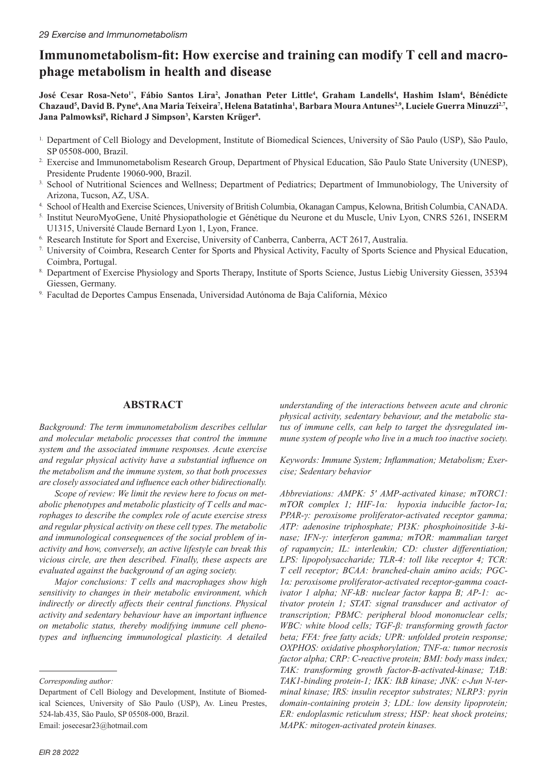# **Immunometabolism-fit: How exercise and training can modify T cell and macrophage metabolism in health and disease**

**José Cesar Rosa-Neto1\*, Fábio Santos Lira<sup>2</sup> , Jonathan Peter Little<sup>4</sup> , Graham Landells<sup>4</sup> , Hashim Islam<sup>4</sup> , Bénédicte**   $C$ hazaud<sup>5</sup>, David B. Pyne<sup>6</sup>, Ana Maria Teixeira<sup>7</sup>, Helena Batatinha<sup>ı</sup>, Barbara Moura Antunes<sup>2,9</sup>, Luciele Guerra Minuzzi<sup>2,7</sup>, **Jana Palmowksi<sup>8</sup> , Richard J Simpson<sup>3</sup> , Karsten Krüger<sup>8</sup> .**

- <sup>1</sup>. Department of Cell Biology and Development, Institute of Biomedical Sciences, University of São Paulo (USP), São Paulo, SP 05508-000, Brazil.
- <sup>2</sup>. Exercise and Immunometabolism Research Group, Department of Physical Education, São Paulo State University (UNESP), Presidente Prudente 19060-900, Brazil.
- 3. School of Nutritional Sciences and Wellness; Department of Pediatrics; Department of Immunobiology, The University of Arizona, Tucson, AZ, USA.
- 4. School of Health and Exercise Sciences, University of British Columbia, Okanagan Campus, Kelowna, British Columbia, CANADA.
- 5. Institut NeuroMyoGene, Unité Physiopathologie et Génétique du Neurone et du Muscle, Univ Lyon, CNRS 5261, INSERM U1315, Université Claude Bernard Lyon 1, Lyon, France.
- 6. Research Institute for Sport and Exercise, University of Canberra, Canberra, ACT 2617, Australia.
- 7. University of Coimbra, Research Center for Sports and Physical Activity, Faculty of Sports Science and Physical Education, Coimbra, Portugal.
- 8. Department of Exercise Physiology and Sports Therapy, Institute of Sports Science, Justus Liebig University Giessen, 35394 Giessen, Germany.
- 9. Facultad de Deportes Campus Ensenada, Universidad Autónoma de Baja California, México

# **ABSTRACT**

*Background: The term immunometabolism describes cellular and molecular metabolic processes that control the immune system and the associated immune responses. Acute exercise and regular physical activity have a substantial influence on the metabolism and the immune system, so that both processes are closely associated and influence each other bidirectionally.*

*Scope of review: We limit the review here to focus on metabolic phenotypes and metabolic plasticity of T cells and macrophages to describe the complex role of acute exercise stress and regular physical activity on these cell types. The metabolic and immunological consequences of the social problem of inactivity and how, conversely, an active lifestyle can break this vicious circle, are then described. Finally, these aspects are evaluated against the background of an aging society.*

*Major conclusions: T cells and macrophages show high sensitivity to changes in their metabolic environment, which indirectly or directly affects their central functions. Physical activity and sedentary behaviour have an important influence on metabolic status, thereby modifying immune cell phenotypes and influencing immunological plasticity. A detailed* 

Email: josecesar23@hotmail.com

*understanding of the interactions between acute and chronic physical activity, sedentary behaviour, and the metabolic status of immune cells, can help to target the dysregulated immune system of people who live in a much too inactive society.*

*Keywords: Immune System; Inflammation; Metabolism; Exercise; Sedentary behavior* 

*Abbreviations: AMPK: 5′ AMP-activated kinase; mTORC1: mTOR complex 1; HIF-1α: hypoxia inducible factor-1α; PPAR-γ: peroxisome proliferator-activated receptor gamma; ATP: adenosine triphosphate; PI3K: phosphoinositide 3-kinase; IFN-γ: interferon gamma; mTOR: mammalian target of rapamycin; IL: interleukin; CD: cluster differentiation; LPS: lipopolysaccharide; TLR-4: toll like receptor 4; TCR: T cell receptor; BCAA: branched-chain amino acids; PGC-1α: peroxisome proliferator-activated receptor-gamma coactivator 1 alpha; NF-kB: nuclear factor kappa B; AP-1: activator protein 1; STAT: signal transducer and activator of transcription; PBMC: peripheral blood mononuclear cells; WBC: white blood cells; TGF-β: transforming growth factor beta; FFA: free fatty acids; UPR: unfolded protein response; OXPHOS: oxidative phosphorylation; TNF-α: tumor necrosis factor alpha; CRP: C-reactive protein; BMI: body mass index; TAK: transforming growth factor-B-activated-kinase; TAB: TAK1-binding protein-1; IKK: IkB kinase; JNK: c-Jun N-terminal kinase; IRS: insulin receptor substrates; NLRP3: pyrin domain-containing protein 3; LDL: low density lipoprotein; ER: endoplasmic reticulum stress; HSP: heat shock proteins; MAPK: mitogen-activated protein kinases.*

*Corresponding author:*

Department of Cell Biology and Development, Institute of Biomedical Sciences, University of São Paulo (USP), Av. Lineu Prestes, 524-lab.435, São Paulo, SP 05508-000, Brazil.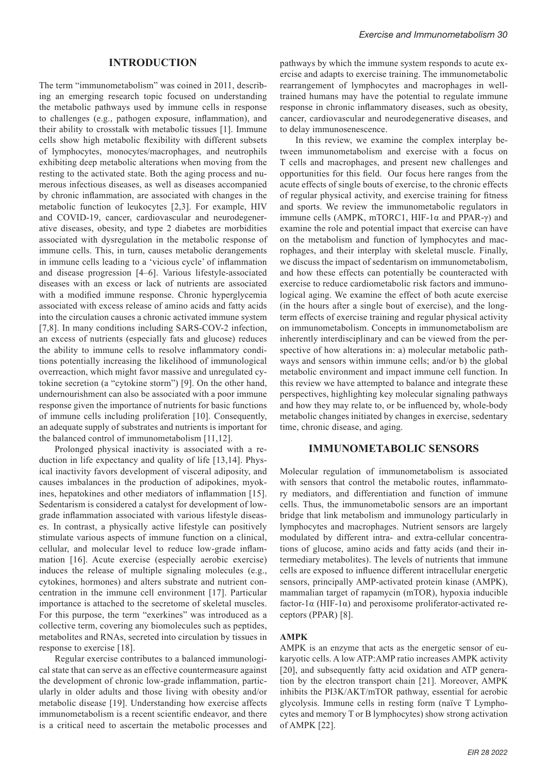### **INTRODUCTION**

The term "immunometabolism" was coined in 2011, describing an emerging research topic focused on understanding the metabolic pathways used by immune cells in response to challenges (e.g., pathogen exposure, inflammation), and their ability to crosstalk with metabolic tissues [1]. Immune cells show high metabolic flexibility with different subsets of lymphocytes, monocytes/macrophages, and neutrophils exhibiting deep metabolic alterations when moving from the resting to the activated state. Both the aging process and numerous infectious diseases, as well as diseases accompanied by chronic inflammation, are associated with changes in the metabolic function of leukocytes [2,3]. For example, HIV and COVID-19, cancer, cardiovascular and neurodegenerative diseases, obesity, and type 2 diabetes are morbidities associated with dysregulation in the metabolic response of immune cells. This, in turn, causes metabolic derangements in immune cells leading to a 'vicious cycle' of inflammation and disease progression [4–6]. Various lifestyle-associated diseases with an excess or lack of nutrients are associated with a modified immune response. Chronic hyperglycemia associated with excess release of amino acids and fatty acids into the circulation causes a chronic activated immune system [7,8]. In many conditions including SARS-COV-2 infection, an excess of nutrients (especially fats and glucose) reduces the ability to immune cells to resolve inflammatory conditions potentially increasing the likelihood of immunological overreaction, which might favor massive and unregulated cytokine secretion (a "cytokine storm") [9]. On the other hand, undernourishment can also be associated with a poor immune response given the importance of nutrients for basic functions of immune cells including proliferation [10]. Consequently, an adequate supply of substrates and nutrients is important for the balanced control of immunometabolism [11,12].

Prolonged physical inactivity is associated with a reduction in life expectancy and quality of life [13,14]. Physical inactivity favors development of visceral adiposity, and causes imbalances in the production of adipokines, myokines, hepatokines and other mediators of inflammation [15]. Sedentarism is considered a catalyst for development of lowgrade inflammation associated with various lifestyle diseases. In contrast, a physically active lifestyle can positively stimulate various aspects of immune function on a clinical, cellular, and molecular level to reduce low-grade inflammation [16]. Acute exercise (especially aerobic exercise) induces the release of multiple signaling molecules (e.g., cytokines, hormones) and alters substrate and nutrient concentration in the immune cell environment [17]. Particular importance is attached to the secretome of skeletal muscles. For this purpose, the term "exerkines" was introduced as a collective term, covering any biomolecules such as peptides, metabolites and RNAs, secreted into circulation by tissues in response to exercise [18].

Regular exercise contributes to a balanced immunological state that can serve as an effective countermeasure against the development of chronic low-grade inflammation, particularly in older adults and those living with obesity and/or metabolic disease [19]. Understanding how exercise affects immunometabolism is a recent scientific endeavor, and there is a critical need to ascertain the metabolic processes and pathways by which the immune system responds to acute exercise and adapts to exercise training. The immunometabolic rearrangement of lymphocytes and macrophages in welltrained humans may have the potential to regulate immune response in chronic inflammatory diseases, such as obesity, cancer, cardiovascular and neurodegenerative diseases, and to delay immunosenescence.

In this review, we examine the complex interplay between immunometabolism and exercise with a focus on T cells and macrophages, and present new challenges and opportunities for this field. Our focus here ranges from the acute effects of single bouts of exercise, to the chronic effects of regular physical activity, and exercise training for fitness and sports. We review the immunometabolic regulators in immune cells (AMPK, mTORC1, HIF-1α and PPAR-γ) and examine the role and potential impact that exercise can have on the metabolism and function of lymphocytes and macrophages, and their interplay with skeletal muscle. Finally, we discuss the impact of sedentarism on immunometabolism, and how these effects can potentially be counteracted with exercise to reduce cardiometabolic risk factors and immunological aging. We examine the effect of both acute exercise (in the hours after a single bout of exercise), and the longterm effects of exercise training and regular physical activity on immunometabolism. Concepts in immunometabolism are inherently interdisciplinary and can be viewed from the perspective of how alterations in: a) molecular metabolic pathways and sensors within immune cells; and/or b) the global metabolic environment and impact immune cell function. In this review we have attempted to balance and integrate these perspectives, highlighting key molecular signaling pathways and how they may relate to, or be influenced by, whole-body metabolic changes initiated by changes in exercise, sedentary time, chronic disease, and aging.

### **IMMUNOMETABOLIC SENSORS**

Molecular regulation of immunometabolism is associated with sensors that control the metabolic routes, inflammatory mediators, and differentiation and function of immune cells. Thus, the immunometabolic sensors are an important bridge that link metabolism and immunology particularly in lymphocytes and macrophages. Nutrient sensors are largely modulated by different intra- and extra-cellular concentrations of glucose, amino acids and fatty acids (and their intermediary metabolites). The levels of nutrients that immune cells are exposed to influence different intracellular energetic sensors, principally AMP-activated protein kinase (AMPK), mammalian target of rapamycin (mTOR), hypoxia inducible factor-1 $\alpha$  (HIF-1 $\alpha$ ) and peroxisome proliferator-activated receptors (PPAR) [8].

#### **AMPK**

AMPK is an enzyme that acts as the energetic sensor of eukaryotic cells. A low ATP:AMP ratio increases AMPK activity [20], and subsequently fatty acid oxidation and ATP generation by the electron transport chain [21]. Moreover, AMPK inhibits the PI3K/AKT/mTOR pathway, essential for aerobic glycolysis. Immune cells in resting form (naïve T Lymphocytes and memory T or B lymphocytes) show strong activation of AMPK [22].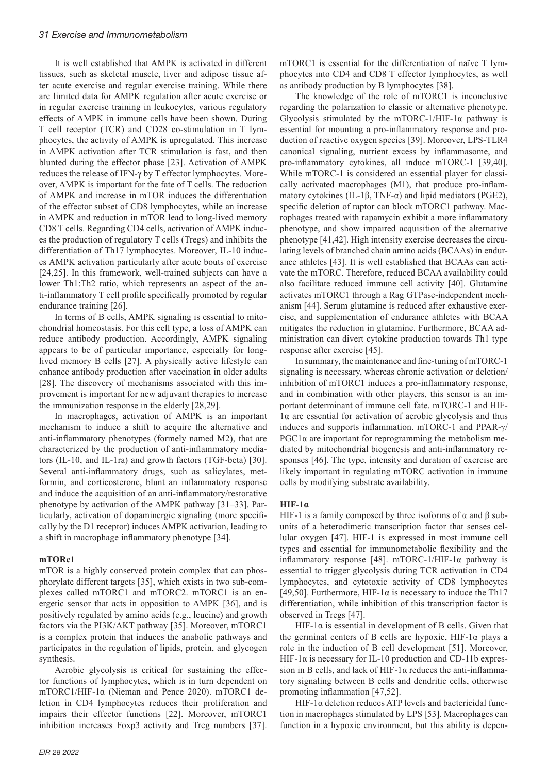It is well established that AMPK is activated in different tissues, such as skeletal muscle, liver and adipose tissue after acute exercise and regular exercise training. While there are limited data for AMPK regulation after acute exercise or in regular exercise training in leukocytes, various regulatory effects of AMPK in immune cells have been shown. During T cell receptor (TCR) and CD28 co-stimulation in T lymphocytes, the activity of AMPK is upregulated. This increase in AMPK activation after TCR stimulation is fast, and then blunted during the effector phase [23]. Activation of AMPK reduces the release of IFN-γ by T effector lymphocytes. Moreover, AMPK is important for the fate of T cells. The reduction of AMPK and increase in mTOR induces the differentiation of the effector subset of CD8 lymphocytes, while an increase in AMPK and reduction in mTOR lead to long-lived memory CD8 T cells. Regarding CD4 cells, activation of AMPK induces the production of regulatory T cells (Tregs) and inhibits the differentiation of Th17 lymphocytes. Moreover, IL-10 induces AMPK activation particularly after acute bouts of exercise [24,25]. In this framework, well-trained subjects can have a lower Th1:Th2 ratio, which represents an aspect of the anti-inflammatory T cell profile specifically promoted by regular endurance training [26].

In terms of B cells, AMPK signaling is essential to mitochondrial homeostasis. For this cell type, a loss of ΑMPK can reduce antibody production. Accordingly, AMPK signaling appears to be of particular importance, especially for longlived memory B cells [27]. A physically active lifestyle can enhance antibody production after vaccination in older adults [28]. The discovery of mechanisms associated with this improvement is important for new adjuvant therapies to increase the immunization response in the elderly [28,29].

In macrophages, activation of AMPK is an important mechanism to induce a shift to acquire the alternative and anti-inflammatory phenotypes (formely named M2), that are characterized by the production of anti-inflammatory mediators (IL-10, and IL-1ra) and growth factors (TGF-beta) [30]. Several anti-inflammatory drugs, such as salicylates, metformin, and corticosterone, blunt an inflammatory response and induce the acquisition of an anti-inflammatory/restorative phenotype by activation of the AMPK pathway [31–33]. Particularly, activation of dopaminergic signaling (more specifically by the D1 receptor) induces AMPK activation, leading to a shift in macrophage inflammatory phenotype [34].

#### **mTORc1**

mTOR is a highly conserved protein complex that can phosphorylate different targets [35], which exists in two sub-complexes called mTORC1 and mTORC2. mTORC1 is an energetic sensor that acts in opposition to AMPK [36], and is positively regulated by amino acids (e.g., leucine) and growth factors via the PI3K/AKT pathway [35]. Moreover, mTORC1 is a complex protein that induces the anabolic pathways and participates in the regulation of lipids, protein, and glycogen synthesis.

Aerobic glycolysis is critical for sustaining the effector functions of lymphocytes, which is in turn dependent on mTORC1/HIF-1α (Nieman and Pence 2020). mTORC1 deletion in CD4 lymphocytes reduces their proliferation and impairs their effector functions [22]. Moreover, mTORC1 inhibition increases Foxp3 activity and Treg numbers [37].

mTORC1 is essential for the differentiation of naïve T lymphocytes into CD4 and CD8 T effector lymphocytes, as well as antibody production by B lymphocytes [38].

The knowledge of the role of mTORC1 is inconclusive regarding the polarization to classic or alternative phenotype. Glycolysis stimulated by the mTORC-1/HIF-1 $\alpha$  pathway is essential for mounting a pro-inflammatory response and production of reactive oxygen species [39]. Moreover, LPS-TLR4 canonical signaling, nutrient excess by inflammasome, and pro-inflammatory cytokines, all induce mTORC-1 [39,40]. While mTORC-1 is considered an essential player for classically activated macrophages (M1), that produce pro-inflammatory cytokines (IL-1β, TNF- $\alpha$ ) and lipid mediators (PGE2), specific deletion of raptor can block mTORC1 pathway. Macrophages treated with rapamycin exhibit a more inflammatory phenotype, and show impaired acquisition of the alternative phenotype [41,42]. High intensity exercise decreases the circulating levels of branched chain amino acids (BCAAs) in endurance athletes [43]. It is well established that BCAAs can activate the mTORC. Therefore, reduced BCAA availability could also facilitate reduced immune cell activity [40]. Glutamine activates mTORC1 through a Rag GTPase-independent mechanism [44]. Serum glutamine is reduced after exhaustive exercise, and supplementation of endurance athletes with BCAA mitigates the reduction in glutamine. Furthermore, BCAA administration can divert cytokine production towards Th1 type response after exercise [45].

In summary, the maintenance and fine-tuning of mTORC-1 signaling is necessary, whereas chronic activation or deletion/ inhibition of mTORC1 induces a pro-inflammatory response, and in combination with other players, this sensor is an important determinant of immune cell fate. mTORC-1 and HIF-1α are essential for activation of aerobic glycolysis and thus induces and supports inflammation. mTORC-1 and PPAR-γ/  $PGC1\alpha$  are important for reprogramming the metabolism mediated by mitochondrial biogenesis and anti-inflammatory responses [46]. The type, intensity and duration of exercise are likely important in regulating mTORC activation in immune cells by modifying substrate availability.

#### **HIF-1α**

HIF-1 is a family composed by three isoforms of α and β subunits of a heterodimeric transcription factor that senses cellular oxygen [47]. HIF-1 is expressed in most immune cell types and essential for immunometabolic flexibility and the inflammatory response [48]. mTORC-1/HIF-1 $\alpha$  pathway is essential to trigger glycolysis during TCR activation in CD4 lymphocytes, and cytotoxic activity of CD8 lymphocytes [49,50]. Furthermore, HIF-1 $\alpha$  is necessary to induce the Th17 differentiation, while inhibition of this transcription factor is observed in Tregs [47].

HIF-1 $\alpha$  is essential in development of B cells. Given that the germinal centers of B cells are hypoxic, HIF-1α plays a role in the induction of B cell development [51]. Moreover, HIF-1 $\alpha$  is necessary for IL-10 production and CD-11b expression in B cells, and lack of HIF-1 $\alpha$  reduces the anti-inflammatory signaling between B cells and dendritic cells, otherwise promoting inflammation [47,52].

HIF-1α deletion reduces ATP levels and bactericidal function in macrophages stimulated by LPS [53]. Macrophages can function in a hypoxic environment, but this ability is depen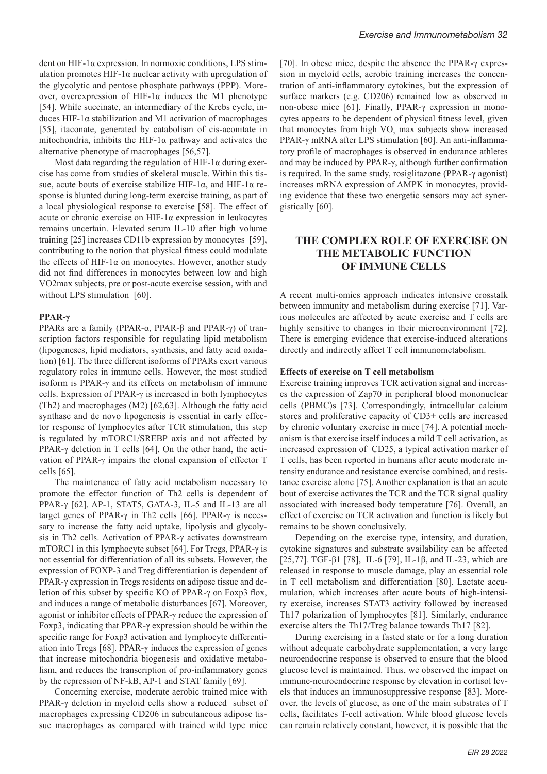dent on HIF-1α expression. In normoxic conditions, LPS stimulation promotes HIF-1 $\alpha$  nuclear activity with upregulation of the glycolytic and pentose phosphate pathways (PPP). Moreover, overexpression of HIF-1 $\alpha$  induces the M1 phenotype [54]. While succinate, an intermediary of the Krebs cycle, induces HIF-1α stabilization and M1 activation of macrophages [55], itaconate, generated by catabolism of cis-aconitate in mitochondria, inhibits the HIF-1 $\alpha$  pathway and activates the alternative phenotype of macrophages [56,57].

Most data regarding the regulation of HIF-1 $\alpha$  during exercise has come from studies of skeletal muscle. Within this tissue, acute bouts of exercise stabilize HIF-1α, and HIF-1α response is blunted during long-term exercise training, as part of a local physiological response to exercise [58]. The effect of acute or chronic exercise on HIF-1α expression in leukocytes remains uncertain. Elevated serum IL-10 after high volume training [25] increases CD11b expression by monocytes [59], contributing to the notion that physical fitness could modulate the effects of HIF-1α on monocytes. However, another study did not find differences in monocytes between low and high VO2max subjects, pre or post-acute exercise session, with and without LPS stimulation [60].

### **PPAR-γ**

PPARs are a family (PPAR-α, PPAR-β and PPAR-γ) of transcription factors responsible for regulating lipid metabolism (lipogeneses, lipid mediators, synthesis, and fatty acid oxidation) [61]. The three different isoforms of PPARs exert various regulatory roles in immune cells. However, the most studied isoform is PPAR-γ and its effects on metabolism of immune cells. Expression of PPAR- $\gamma$  is increased in both lymphocytes (Th2) and macrophages (M2) [62,63]. Although the fatty acid synthase and de novo lipogenesis is essential in early effector response of lymphocytes after TCR stimulation, this step is regulated by mTORC1/SREBP axis and not affected by PPAR-γ deletion in T cells [64]. On the other hand, the activation of PPAR-γ impairs the clonal expansion of effector T cells [65].

The maintenance of fatty acid metabolism necessary to promote the effector function of Th2 cells is dependent of PPAR-γ [62]. AP-1, STAT5, GATA-3, IL-5 and IL-13 are all target genes of PPAR-γ in Th2 cells [66]. PPAR-γ is necessary to increase the fatty acid uptake, lipolysis and glycolysis in Th2 cells. Activation of PPAR-γ activates downstream mTORC1 in this lymphocyte subset [64]. For Tregs, PPAR- $\gamma$  is not essential for differentiation of all its subsets. However, the expression of FOXP-3 and Treg differentiation is dependent of PPAR-γ expression in Tregs residents on adipose tissue and deletion of this subset by specific KO of PPAR-γ on Foxp3 flox, and induces a range of metabolic disturbances [67]. Moreover, agonist or inhibitor effects of PPAR-γ reduce the expression of Foxp3, indicating that PPAR-γ expression should be within the specific range for Foxp3 activation and lymphocyte differentiation into Tregs [68]. PPAR-γ induces the expression of genes that increase mitochondria biogenesis and oxidative metabolism, and reduces the transcription of pro-inflammatory genes by the repression of NF-kB, AP-1 and STAT family [69].

Concerning exercise, moderate aerobic trained mice with PPAR-γ deletion in myeloid cells show a reduced subset of macrophages expressing CD206 in subcutaneous adipose tissue macrophages as compared with trained wild type mice [70]. In obese mice, despite the absence the PPAR-γ expression in myeloid cells, aerobic training increases the concentration of anti-inflammatory cytokines, but the expression of surface markers (e.g. CD206) remained low as observed in non-obese mice [61]. Finally, PPAR-γ expression in monocytes appears to be dependent of physical fitness level, given that monocytes from high  $VO<sub>2</sub>$  max subjects show increased PPAR-γ mRNA after LPS stimulation [60]. An anti-inflammatory profile of macrophages is observed in endurance athletes and may be induced by PPAR-γ, although further confirmation is required. In the same study, rosiglitazone (PPAR-γ agonist) increases mRNA expression of AMPK in monocytes, providing evidence that these two energetic sensors may act synergistically [60].

# **THE COMPLEX ROLE OF EXERCISE ON THE METABOLIC FUNCTION OF IMMUNE CELLS**

A recent multi-omics approach indicates intensive crosstalk between immunity and metabolism during exercise [71]. Various molecules are affected by acute exercise and T cells are highly sensitive to changes in their microenvironment [72]. There is emerging evidence that exercise-induced alterations directly and indirectly affect T cell immunometabolism.

#### **Effects of exercise on T cell metabolism**

Exercise training improves TCR activation signal and increases the expression of Zap70 in peripheral blood mononuclear cells (PBMC)s [73]. Correspondingly, intracellular calcium stores and proliferative capacity of CD3+ cells are increased by chronic voluntary exercise in mice [74]. A potential mechanism is that exercise itself induces a mild T cell activation, as increased expression of CD25, a typical activation marker of T cells, has been reported in humans after acute moderate intensity endurance and resistance exercise combined, and resistance exercise alone [75]. Another explanation is that an acute bout of exercise activates the TCR and the TCR signal quality associated with increased body temperature [76]. Overall, an effect of exercise on TCR activation and function is likely but remains to be shown conclusively.

Depending on the exercise type, intensity, and duration, cytokine signatures and substrate availability can be affected [25,77]. TGF-β1 [78], IL-6 [79], IL-1β, and IL-23, which are released in response to muscle damage, play an essential role in T cell metabolism and differentiation [80]. Lactate accumulation, which increases after acute bouts of high-intensity exercise, increases STAT3 activity followed by increased Th17 polarization of lymphocytes [81]. Similarly, endurance exercise alters the Th17/Treg balance towards Th17 [82].

During exercising in a fasted state or for a long duration without adequate carbohydrate supplementation, a very large neuroendocrine response is observed to ensure that the blood glucose level is maintained. Thus, we observed the impact on immune-neuroendocrine response by elevation in cortisol levels that induces an immunosuppressive response [83]. Moreover, the levels of glucose, as one of the main substrates of T cells, facilitates T-cell activation. While blood glucose levels can remain relatively constant, however, it is possible that the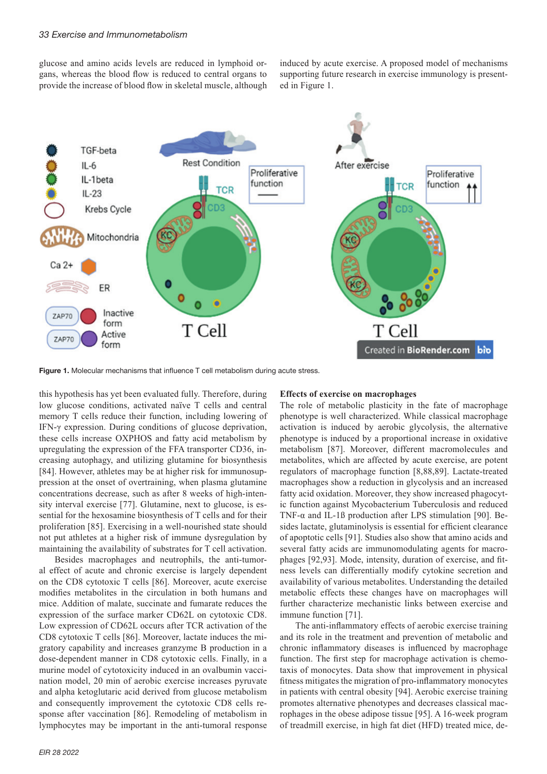glucose and amino acids levels are reduced in lymphoid organs, whereas the blood flow is reduced to central organs to provide the increase of blood flow in skeletal muscle, although

induced by acute exercise. A proposed model of mechanisms supporting future research in exercise immunology is presented in Figure 1.



Figure 1. Molecular mechanisms that influence T cell metabolism during acute stress.

this hypothesis has yet been evaluated fully. Therefore, during low glucose conditions, activated naïve T cells and central memory T cells reduce their function, including lowering of IFN-γ expression. During conditions of glucose deprivation, these cells increase OXPHOS and fatty acid metabolism by upregulating the expression of the FFA transporter CD36, increasing autophagy, and utilizing glutamine for biosynthesis [84]. However, athletes may be at higher risk for immunosuppression at the onset of overtraining, when plasma glutamine concentrations decrease, such as after 8 weeks of high-intensity interval exercise [77]. Glutamine, next to glucose, is essential for the hexosamine biosynthesis of T cells and for their proliferation [85]. Exercising in a well-nourished state should not put athletes at a higher risk of immune dysregulation by maintaining the availability of substrates for T cell activation.

Besides macrophages and neutrophils, the anti-tumoral effect of acute and chronic exercise is largely dependent on the CD8 cytotoxic T cells [86]. Moreover, acute exercise modifies metabolites in the circulation in both humans and mice. Addition of malate, succinate and fumarate reduces the expression of the surface marker CD62L on cytotoxic CD8. Low expression of CD62L occurs after TCR activation of the CD8 cytotoxic T cells [86]. Moreover, lactate induces the migratory capability and increases granzyme B production in a dose-dependent manner in CD8 cytotoxic cells. Finally, in a murine model of cytotoxicity induced in an ovalbumin vaccination model, 20 min of aerobic exercise increases pyruvate and alpha ketoglutaric acid derived from glucose metabolism and consequently improvement the cytotoxic CD8 cells response after vaccination [86]. Remodeling of metabolism in lymphocytes may be important in the anti-tumoral response

# *EIR 28 2022*

#### **Effects of exercise on macrophages**

The role of metabolic plasticity in the fate of macrophage phenotype is well characterized. While classical macrophage activation is induced by aerobic glycolysis, the alternative phenotype is induced by a proportional increase in oxidative metabolism [87]. Moreover, different macromolecules and metabolites, which are affected by acute exercise, are potent regulators of macrophage function [8,88,89]. Lactate-treated macrophages show a reduction in glycolysis and an increased fatty acid oxidation. Moreover, they show increased phagocytic function against Mycobacterium Tuberculosis and reduced TNF-α and IL-1ß production after LPS stimulation [90]. Besides lactate, glutaminolysis is essential for efficient clearance of apoptotic cells [91]. Studies also show that amino acids and several fatty acids are immunomodulating agents for macrophages [92,93]. Mode, intensity, duration of exercise, and fitness levels can differentially modify cytokine secretion and availability of various metabolites. Understanding the detailed metabolic effects these changes have on macrophages will further characterize mechanistic links between exercise and immune function [71].

The anti-inflammatory effects of aerobic exercise training and its role in the treatment and prevention of metabolic and chronic inflammatory diseases is influenced by macrophage function. The first step for macrophage activation is chemotaxis of monocytes. Data show that improvement in physical fitness mitigates the migration of pro-inflammatory monocytes in patients with central obesity [94]. Aerobic exercise training promotes alternative phenotypes and decreases classical macrophages in the obese adipose tissue [95]. A 16-week program of treadmill exercise, in high fat diet (HFD) treated mice, de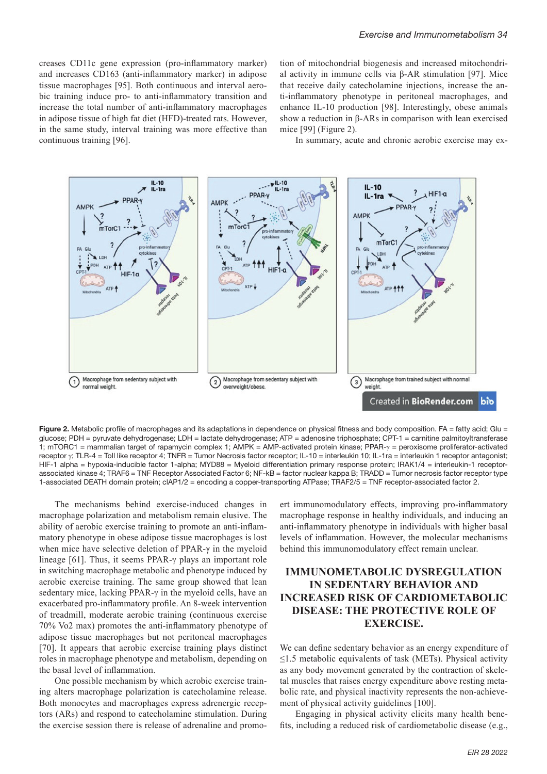creases CD11c gene expression (pro-inflammatory marker) and increases CD163 (anti-inflammatory marker) in adipose tissue macrophages [95]. Both continuous and interval aerobic training induce pro- to anti-inflammatory transition and increase the total number of anti-inflammatory macrophages in adipose tissue of high fat diet (HFD)-treated rats. However, in the same study, interval training was more effective than continuous training [96].

tion of mitochondrial biogenesis and increased mitochondrial activity in immune cells via β-AR stimulation [97]. Mice that receive daily catecholamine injections, increase the anti-inflammatory phenotype in peritoneal macrophages, and enhance IL-10 production [98]. Interestingly, obese animals show a reduction in β-ARs in comparison with lean exercised mice [99] (Figure 2).

In summary, acute and chronic aerobic exercise may ex-



Figure 2. Metabolic profile of macrophages and its adaptations in dependence on physical fitness and body composition. FA = fatty acid; Glu = glucose; PDH = pyruvate dehydrogenase; LDH = lactate dehydrogenase; ATP = adenosine triphosphate; CPT-1 = carnitine palmitoyltransferase 1; mTORC1 = mammalian target of rapamycin complex 1; AMPK = AMP-activated protein kinase; PPAR-γ = peroxisome proliferator-activated receptor γ; TLR-4 = Toll like receptor 4; TNFR = Tumor Necrosis factor receptor; IL-10 = interleukin 10; IL-1ra = interleukin 1 receptor antagonist; HIF-1 alpha = hypoxia-inducible factor 1-alpha; MYD88 = Myeloid differentiation primary response protein; IRAK1/4 = interleukin-1 receptorassociated kinase 4; TRAF6 = TNF Receptor Associated Factor 6; NF-kB = factor nuclear kappa B; TRADD = Tumor necrosis factor receptor type 1-associated DEATH domain protein; clAP1/2 = encoding a copper-transporting ATPase; TRAF2/5 = TNF receptor-associated factor 2.

The mechanisms behind exercise-induced changes in macrophage polarization and metabolism remain elusive. The ability of aerobic exercise training to promote an anti-inflammatory phenotype in obese adipose tissue macrophages is lost when mice have selective deletion of PPAR-γ in the myeloid lineage [61]. Thus, it seems PPAR-γ plays an important role in switching macrophage metabolic and phenotype induced by aerobic exercise training. The same group showed that lean sedentary mice, lacking PPAR-γ in the myeloid cells, have an exacerbated pro-inflammatory profile. An 8-week intervention of treadmill, moderate aerobic training (continuous exercise 70% Vo2 max) promotes the anti-inflammatory phenotype of adipose tissue macrophages but not peritoneal macrophages [70]. It appears that aerobic exercise training plays distinct roles in macrophage phenotype and metabolism, depending on the basal level of inflammation.

One possible mechanism by which aerobic exercise training alters macrophage polarization is catecholamine release. Both monocytes and macrophages express adrenergic receptors (ARs) and respond to catecholamine stimulation. During the exercise session there is release of adrenaline and promo-

ert immunomodulatory effects, improving pro-inflammatory macrophage response in healthy individuals, and inducing an anti-inflammatory phenotype in individuals with higher basal levels of inflammation. However, the molecular mechanisms behind this immunomodulatory effect remain unclear.

# **IMMUNOMETABOLIC DYSREGULATION IN SEDENTARY BEHAVIOR AND INCREASED RISK OF CARDIOMETABOLIC DISEASE: THE PROTECTIVE ROLE OF EXERCISE.**

We can define sedentary behavior as an energy expenditure of  $\leq$ 1.5 metabolic equivalents of task (METs). Physical activity as any body movement generated by the contraction of skeletal muscles that raises energy expenditure above resting metabolic rate, and physical inactivity represents the non-achievement of physical activity guidelines [100].

Engaging in physical activity elicits many health benefits, including a reduced risk of cardiometabolic disease (e.g.,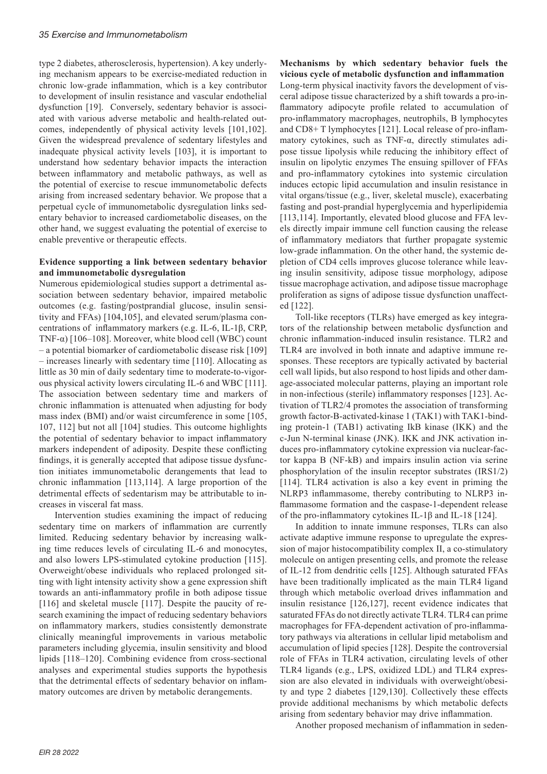type 2 diabetes, atherosclerosis, hypertension). A key underlying mechanism appears to be exercise-mediated reduction in chronic low-grade inflammation, which is a key contributor to development of insulin resistance and vascular endothelial dysfunction [19]. Conversely, sedentary behavior is associated with various adverse metabolic and health-related outcomes, independently of physical activity levels [101,102]. Given the widespread prevalence of sedentary lifestyles and inadequate physical activity levels [103], it is important to understand how sedentary behavior impacts the interaction between inflammatory and metabolic pathways, as well as the potential of exercise to rescue immunometabolic defects arising from increased sedentary behavior. We propose that a perpetual cycle of immunometabolic dysregulation links sedentary behavior to increased cardiometabolic diseases, on the other hand, we suggest evaluating the potential of exercise to enable preventive or therapeutic effects.

### **Evidence supporting a link between sedentary behavior and immunometabolic dysregulation**

Numerous epidemiological studies support a detrimental association between sedentary behavior, impaired metabolic outcomes (e.g. fasting/postprandial glucose, insulin sensitivity and FFAs) [104,105], and elevated serum/plasma concentrations of inflammatory markers (e.g. IL-6, IL-1β, CRP, TNF- $\alpha$ ) [106–108]. Moreover, white blood cell (WBC) count – a potential biomarker of cardiometabolic disease risk [109] – increases linearly with sedentary time [110]. Allocating as little as 30 min of daily sedentary time to moderate-to-vigorous physical activity lowers circulating IL-6 and WBC [111]. The association between sedentary time and markers of chronic inflammation is attenuated when adjusting for body mass index (BMI) and/or waist circumference in some [105, 107, 112] but not all [104] studies. This outcome highlights the potential of sedentary behavior to impact inflammatory markers independent of adiposity. Despite these conflicting findings, it is generally accepted that adipose tissue dysfunction initiates immunometabolic derangements that lead to chronic inflammation [113,114]. A large proportion of the detrimental effects of sedentarism may be attributable to increases in visceral fat mass.

Intervention studies examining the impact of reducing sedentary time on markers of inflammation are currently limited. Reducing sedentary behavior by increasing walking time reduces levels of circulating IL-6 and monocytes, and also lowers LPS-stimulated cytokine production [115]. Overweight/obese individuals who replaced prolonged sitting with light intensity activity show a gene expression shift towards an anti-inflammatory profile in both adipose tissue [116] and skeletal muscle [117]. Despite the paucity of research examining the impact of reducing sedentary behaviors on inflammatory markers, studies consistently demonstrate clinically meaningful improvements in various metabolic parameters including glycemia, insulin sensitivity and blood lipids [118–120]. Combining evidence from cross-sectional analyses and experimental studies supports the hypothesis that the detrimental effects of sedentary behavior on inflammatory outcomes are driven by metabolic derangements.

**Mechanisms by which sedentary behavior fuels the vicious cycle of metabolic dysfunction and inflammation** Long-term physical inactivity favors the development of visceral adipose tissue characterized by a shift towards a pro-inflammatory adipocyte profile related to accumulation of pro-inflammatory macrophages, neutrophils, B lymphocytes and CD8+ T lymphocytes [121]. Local release of pro-inflammatory cytokines, such as TNF-α, directly stimulates adipose tissue lipolysis while reducing the inhibitory effect of insulin on lipolytic enzymes The ensuing spillover of FFAs and pro-inflammatory cytokines into systemic circulation induces ectopic lipid accumulation and insulin resistance in vital organs/tissue (e.g., liver, skeletal muscle), exacerbating fasting and post-prandial hyperglycemia and hyperlipidemia [113,114]. Importantly, elevated blood glucose and FFA levels directly impair immune cell function causing the release of inflammatory mediators that further propagate systemic low-grade inflammation. On the other hand, the systemic depletion of CD4 cells improves glucose tolerance while leaving insulin sensitivity, adipose tissue morphology, adipose tissue macrophage activation, and adipose tissue macrophage proliferation as signs of adipose tissue dysfunction unaffected [122].

Toll-like receptors (TLRs) have emerged as key integrators of the relationship between metabolic dysfunction and chronic inflammation-induced insulin resistance. TLR2 and TLR4 are involved in both innate and adaptive immune responses. These receptors are typically activated by bacterial cell wall lipids, but also respond to host lipids and other damage-associated molecular patterns, playing an important role in non-infectious (sterile) inflammatory responses [123]. Activation of TLR2/4 promotes the association of transforming growth factor-B-activated-kinase 1 (TAK1) with TAK1-binding protein-1 (TAB1) activating IkB kinase (IKK) and the c-Jun N-terminal kinase (JNK). IKK and JNK activation induces pro-inflammatory cytokine expression via nuclear-factor kappa B (NF-kB) and impairs insulin action via serine phosphorylation of the insulin receptor substrates (IRS1/2) [114]. TLR4 activation is also a key event in priming the NLRP3 inflammasome, thereby contributing to NLRP3 inflammasome formation and the caspase-1-dependent release of the pro-inflammatory cytokines IL-1β and IL-18 [124].

In addition to innate immune responses, TLRs can also activate adaptive immune response to upregulate the expression of major histocompatibility complex II, a co-stimulatory molecule on antigen presenting cells, and promote the release of IL-12 from dendritic cells [125]. Although saturated FFAs have been traditionally implicated as the main TLR4 ligand through which metabolic overload drives inflammation and insulin resistance [126,127], recent evidence indicates that saturated FFAs do not directly activate TLR4. TLR4 can prime macrophages for FFA-dependent activation of pro-inflammatory pathways via alterations in cellular lipid metabolism and accumulation of lipid species [128]. Despite the controversial role of FFAs in TLR4 activation, circulating levels of other TLR4 ligands (e.g., LPS, oxidized LDL) and TLR4 expression are also elevated in individuals with overweight/obesity and type 2 diabetes [129,130]. Collectively these effects provide additional mechanisms by which metabolic defects arising from sedentary behavior may drive inflammation.

Another proposed mechanism of inflammation in seden-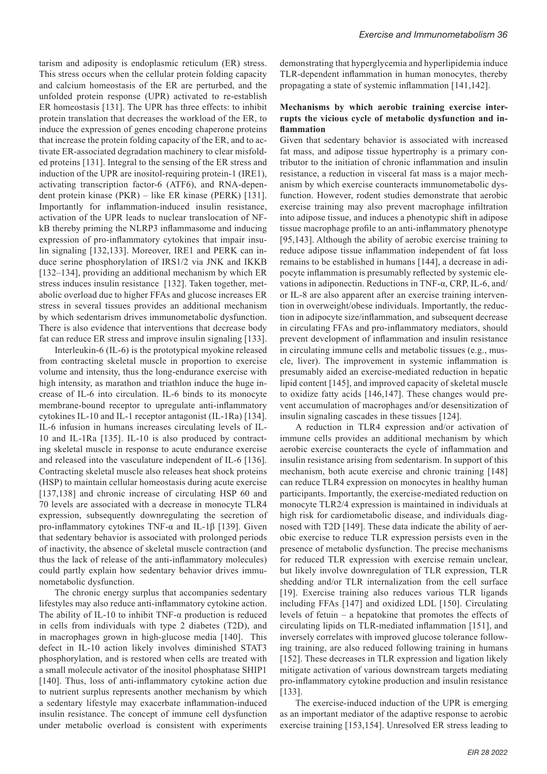tarism and adiposity is endoplasmic reticulum (ER) stress. This stress occurs when the cellular protein folding capacity and calcium homeostasis of the ER are perturbed, and the unfolded protein response (UPR) activated to re-establish ER homeostasis [131]. The UPR has three effects: to inhibit protein translation that decreases the workload of the ER, to induce the expression of genes encoding chaperone proteins that increase the protein folding capacity of the ER, and to activate ER-associated degradation machinery to clear misfolded proteins [131]. Integral to the sensing of the ER stress and induction of the UPR are inositol-requiring protein-1 (IRE1), activating transcription factor-6 (ATF6), and RNA-dependent protein kinase (PKR) – like ER kinase (PERK) [131]. Importantly for inflammation-induced insulin resistance, activation of the UPR leads to nuclear translocation of NFkB thereby priming the NLRP3 inflammasome and inducing expression of pro-inflammatory cytokines that impair insulin signaling [132,133]. Moreover, IRE1 and PERK can induce serine phosphorylation of IRS1/2 via JNK and IKKB [132–134], providing an additional mechanism by which ER stress induces insulin resistance [132]. Taken together, metabolic overload due to higher FFAs and glucose increases ER stress in several tissues provides an additional mechanism by which sedentarism drives immunometabolic dysfunction. There is also evidence that interventions that decrease body fat can reduce ER stress and improve insulin signaling [133].

Interleukin-6 (IL-6) is the prototypical myokine released from contracting skeletal muscle in proportion to exercise volume and intensity, thus the long-endurance exercise with high intensity, as marathon and triathlon induce the huge increase of IL-6 into circulation. IL-6 binds to its monocyte membrane-bound receptor to upregulate anti-inflammatory cytokines IL-10 and IL-1 receptor antagonist (IL-1Ra) [134]. IL-6 infusion in humans increases circulating levels of IL-10 and IL-1Ra [135]. IL-10 is also produced by contracting skeletal muscle in response to acute endurance exercise and released into the vasculature independent of IL-6 [136]. Contracting skeletal muscle also releases heat shock proteins (HSP) to maintain cellular homeostasis during acute exercise [137,138] and chronic increase of circulating HSP 60 and 70 levels are associated with a decrease in monocyte TLR4 expression, subsequently downregulating the secretion of pro-inflammatory cytokines TNF-α and IL-1β [139]. Given that sedentary behavior is associated with prolonged periods of inactivity, the absence of skeletal muscle contraction (and thus the lack of release of the anti-inflammatory molecules) could partly explain how sedentary behavior drives immunometabolic dysfunction.

The chronic energy surplus that accompanies sedentary lifestyles may also reduce anti-inflammatory cytokine action. The ability of IL-10 to inhibit TNF- $\alpha$  production is reduced in cells from individuals with type 2 diabetes (T2D), and in macrophages grown in high-glucose media [140]. This defect in IL-10 action likely involves diminished STAT3 phosphorylation, and is restored when cells are treated with a small molecule activator of the inositol phosphatase SHIP1 [140]. Thus, loss of anti-inflammatory cytokine action due to nutrient surplus represents another mechanism by which a sedentary lifestyle may exacerbate inflammation-induced insulin resistance. The concept of immune cell dysfunction under metabolic overload is consistent with experiments demonstrating that hyperglycemia and hyperlipidemia induce TLR-dependent inflammation in human monocytes, thereby propagating a state of systemic inflammation [141,142].

### **Mechanisms by which aerobic training exercise interrupts the vicious cycle of metabolic dysfunction and inflammation**

Given that sedentary behavior is associated with increased fat mass, and adipose tissue hypertrophy is a primary contributor to the initiation of chronic inflammation and insulin resistance, a reduction in visceral fat mass is a major mechanism by which exercise counteracts immunometabolic dysfunction. However, rodent studies demonstrate that aerobic exercise training may also prevent macrophage infiltration into adipose tissue, and induces a phenotypic shift in adipose tissue macrophage profile to an anti-inflammatory phenotype [95,143]. Although the ability of aerobic exercise training to reduce adipose tissue inflammation independent of fat loss remains to be established in humans [144], a decrease in adipocyte inflammation is presumably reflected by systemic elevations in adiponectin. Reductions in TNF-α, CRP, IL-6, and/ or IL-8 are also apparent after an exercise training intervention in overweight/obese individuals. Importantly, the reduction in adipocyte size/inflammation, and subsequent decrease in circulating FFAs and pro-inflammatory mediators, should prevent development of inflammation and insulin resistance in circulating immune cells and metabolic tissues (e.g., muscle, liver). The improvement in systemic inflammation is presumably aided an exercise-mediated reduction in hepatic lipid content [145], and improved capacity of skeletal muscle to oxidize fatty acids [146,147]. These changes would prevent accumulation of macrophages and/or desensitization of insulin signaling cascades in these tissues [124].

A reduction in TLR4 expression and/or activation of immune cells provides an additional mechanism by which aerobic exercise counteracts the cycle of inflammation and insulin resistance arising from sedentarism. In support of this mechanism, both acute exercise and chronic training [148] can reduce TLR4 expression on monocytes in healthy human participants. Importantly, the exercise-mediated reduction on monocyte TLR2/4 expression is maintained in individuals at high risk for cardiometabolic disease, and individuals diagnosed with T2D [149]. These data indicate the ability of aerobic exercise to reduce TLR expression persists even in the presence of metabolic dysfunction. The precise mechanisms for reduced TLR expression with exercise remain unclear, but likely involve downregulation of TLR expression, TLR shedding and/or TLR internalization from the cell surface [19]. Exercise training also reduces various TLR ligands including FFAs [147] and oxidized LDL [150]. Circulating levels of fetuin – a hepatokine that promotes the effects of circulating lipids on TLR-mediated inflammation [151], and inversely correlates with improved glucose tolerance following training, are also reduced following training in humans [152]. These decreases in TLR expression and ligation likely mitigate activation of various downstream targets mediating pro-inflammatory cytokine production and insulin resistance [133].

The exercise-induced induction of the UPR is emerging as an important mediator of the adaptive response to aerobic exercise training [153,154]. Unresolved ER stress leading to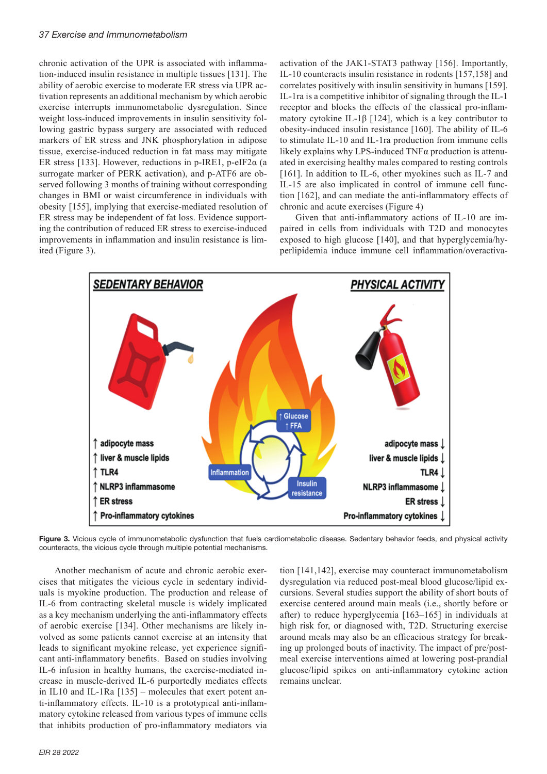### *37 Exercise and Immunometabolism*

chronic activation of the UPR is associated with inflammation-induced insulin resistance in multiple tissues [131]. The ability of aerobic exercise to moderate ER stress via UPR activation represents an additional mechanism by which aerobic exercise interrupts immunometabolic dysregulation. Since weight loss-induced improvements in insulin sensitivity following gastric bypass surgery are associated with reduced markers of ER stress and JNK phosphorylation in adipose tissue, exercise-induced reduction in fat mass may mitigate ER stress [133]. However, reductions in p-IRE1, p-eIF2 $\alpha$  (a surrogate marker of PERK activation), and p-ATF6 are observed following 3 months of training without corresponding changes in BMI or waist circumference in individuals with obesity [155], implying that exercise-mediated resolution of ER stress may be independent of fat loss. Evidence supporting the contribution of reduced ER stress to exercise-induced improvements in inflammation and insulin resistance is limited (Figure 3).

activation of the JAK1-STAT3 pathway [156]. Importantly, IL-10 counteracts insulin resistance in rodents [157,158] and correlates positively with insulin sensitivity in humans [159]. IL-1ra is a competitive inhibitor of signaling through the IL-1 receptor and blocks the effects of the classical pro-inflammatory cytokine IL-1β [124], which is a key contributor to obesity-induced insulin resistance [160]. The ability of IL-6 to stimulate IL-10 and IL-1ra production from immune cells likely explains why LPS-induced TNFα production is attenuated in exercising healthy males compared to resting controls [161]. In addition to IL-6, other myokines such as IL-7 and IL-15 are also implicated in control of immune cell function [162], and can mediate the anti-inflammatory effects of chronic and acute exercises (Figure 4)

Given that anti-inflammatory actions of IL-10 are impaired in cells from individuals with T2D and monocytes exposed to high glucose [140], and that hyperglycemia/hyperlipidemia induce immune cell inflammation/overactiva-



Figure 3. Vicious cycle of immunometabolic dysfunction that fuels cardiometabolic disease. Sedentary behavior feeds, and physical activity counteracts, the vicious cycle through multiple potential mechanisms.

Another mechanism of acute and chronic aerobic exercises that mitigates the vicious cycle in sedentary individuals is myokine production. The production and release of IL-6 from contracting skeletal muscle is widely implicated as a key mechanism underlying the anti-inflammatory effects of aerobic exercise [134]. Other mechanisms are likely involved as some patients cannot exercise at an intensity that leads to significant myokine release, yet experience significant anti-inflammatory benefits. Based on studies involving IL-6 infusion in healthy humans, the exercise-mediated increase in muscle-derived IL-6 purportedly mediates effects in IL10 and IL-1Ra [135] – molecules that exert potent anti-inflammatory effects. IL-10 is a prototypical anti-inflammatory cytokine released from various types of immune cells that inhibits production of pro-inflammatory mediators via

tion [141,142], exercise may counteract immunometabolism dysregulation via reduced post-meal blood glucose/lipid excursions. Several studies support the ability of short bouts of exercise centered around main meals (i.e., shortly before or after) to reduce hyperglycemia [163–165] in individuals at high risk for, or diagnosed with, T2D. Structuring exercise around meals may also be an efficacious strategy for breaking up prolonged bouts of inactivity. The impact of pre/postmeal exercise interventions aimed at lowering post-prandial glucose/lipid spikes on anti-inflammatory cytokine action remains unclear.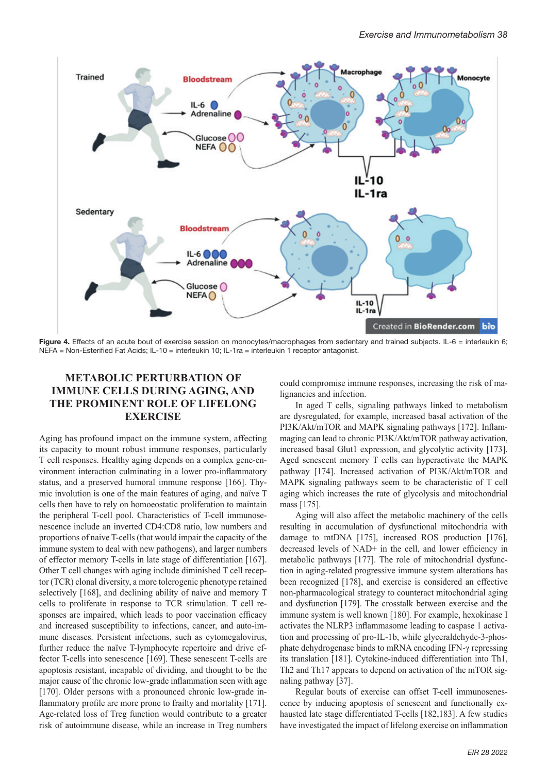

Figure 4. Effects of an acute bout of exercise session on monocytes/macrophages from sedentary and trained subjects. IL-6 = interleukin 6; NEFA = Non-Esterified Fat Acids; IL-10 = interleukin 10; IL-1ra = interleukin 1 receptor antagonist.

# **METABOLIC PERTURBATION OF IMMUNE CELLS DURING AGING, AND THE PROMINENT ROLE OF LIFELONG EXERCISE**

Aging has profound impact on the immune system, affecting its capacity to mount robust immune responses, particularly T cell responses. Healthy aging depends on a complex gene-environment interaction culminating in a lower pro-inflammatory status, and a preserved humoral immune response [166]. Thymic involution is one of the main features of aging, and naïve T cells then have to rely on homoeostatic proliferation to maintain the peripheral T-cell pool. Characteristics of T-cell immunosenescence include an inverted CD4:CD8 ratio, low numbers and proportions of naive T-cells (that would impair the capacity of the immune system to deal with new pathogens), and larger numbers of effector memory T-cells in late stage of differentiation [167]. Other T cell changes with aging include diminished T cell receptor (TCR) clonal diversity, a more tolerogenic phenotype retained selectively [168], and declining ability of naïve and memory T cells to proliferate in response to TCR stimulation. T cell responses are impaired, which leads to poor vaccination efficacy and increased susceptibility to infections, cancer, and auto-immune diseases. Persistent infections, such as cytomegalovirus, further reduce the naïve T-lymphocyte repertoire and drive effector T-cells into senescence [169]. These senescent T-cells are apoptosis resistant, incapable of dividing, and thought to be the major cause of the chronic low-grade inflammation seen with age [170]. Older persons with a pronounced chronic low-grade inflammatory profile are more prone to frailty and mortality [171]. Age-related loss of Treg function would contribute to a greater risk of autoimmune disease, while an increase in Treg numbers could compromise immune responses, increasing the risk of malignancies and infection.

In aged T cells, signaling pathways linked to metabolism are dysregulated, for example, increased basal activation of the PI3K/Akt/mTOR and MAPK signaling pathways [172]. Inflammaging can lead to chronic PI3K/Akt/mTOR pathway activation, increased basal Glut1 expression, and glycolytic activity [173]. Aged senescent memory T cells can hyperactivate the MAPK pathway [174]. Increased activation of PI3K/Akt/mTOR and MAPK signaling pathways seem to be characteristic of T cell aging which increases the rate of glycolysis and mitochondrial mass [175].

Aging will also affect the metabolic machinery of the cells resulting in accumulation of dysfunctional mitochondria with damage to mtDNA [175], increased ROS production [176], decreased levels of NAD+ in the cell, and lower efficiency in metabolic pathways [177]. The role of mitochondrial dysfunction in aging-related progressive immune system alterations has been recognized [178], and exercise is considered an effective non-pharmacological strategy to counteract mitochondrial aging and dysfunction [179]. The crosstalk between exercise and the immune system is well known [180]. For example, hexokinase I activates the NLRP3 inflammasome leading to caspase 1 activation and processing of pro-IL-1b, while glyceraldehyde-3-phosphate dehydrogenase binds to mRNA encoding IFN-γ repressing its translation [181]. Cytokine-induced differentiation into Th1, Th2 and Th17 appears to depend on activation of the mTOR signaling pathway [37].

Regular bouts of exercise can offset T-cell immunosenescence by inducing apoptosis of senescent and functionally exhausted late stage differentiated T-cells [182,183]. A few studies have investigated the impact of lifelong exercise on inflammation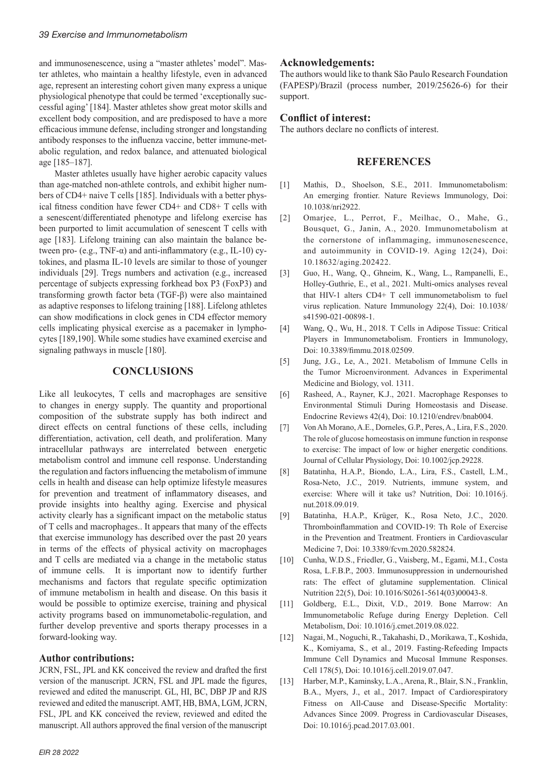and immunosenescence, using a "master athletes' model". Master athletes, who maintain a healthy lifestyle, even in advanced age, represent an interesting cohort given many express a unique physiological phenotype that could be termed 'exceptionally successful aging' [184]. Master athletes show great motor skills and excellent body composition, and are predisposed to have a more efficacious immune defense, including stronger and longstanding antibody responses to the influenza vaccine, better immune-metabolic regulation, and redox balance, and attenuated biological age [185–187].

Master athletes usually have higher aerobic capacity values than age-matched non-athlete controls, and exhibit higher numbers of CD4+ naive T cells [185]. Individuals with a better physical fitness condition have fewer CD4+ and CD8+ T cells with a senescent/differentiated phenotype and lifelong exercise has been purported to limit accumulation of senescent T cells with age [183]. Lifelong training can also maintain the balance between pro- (e.g., TNF- $\alpha$ ) and anti-inflammatory (e.g., IL-10) cytokines, and plasma IL-10 levels are similar to those of younger individuals [29]. Tregs numbers and activation (e.g., increased percentage of subjects expressing forkhead box P3 (FoxP3) and transforming growth factor beta (TGF-β) were also maintained as adaptive responses to lifelong training [188]. Lifelong athletes can show modifications in clock genes in CD4 effector memory cells implicating physical exercise as a pacemaker in lymphocytes [189,190]. While some studies have examined exercise and signaling pathways in muscle [180].

## **CONCLUSIONS**

Like all leukocytes, T cells and macrophages are sensitive to changes in energy supply. The quantity and proportional composition of the substrate supply has both indirect and direct effects on central functions of these cells, including differentiation, activation, cell death, and proliferation. Many intracellular pathways are interrelated between energetic metabolism control and immune cell response. Understanding the regulation and factors influencing the metabolism of immune cells in health and disease can help optimize lifestyle measures for prevention and treatment of inflammatory diseases, and provide insights into healthy aging. Exercise and physical activity clearly has a significant impact on the metabolic status of T cells and macrophages.. It appears that many of the effects that exercise immunology has described over the past 20 years in terms of the effects of physical activity on macrophages and T cells are mediated via a change in the metabolic status of immune cells. It is important now to identify further mechanisms and factors that regulate specific optimization of immune metabolism in health and disease. On this basis it would be possible to optimize exercise, training and physical activity programs based on immunometabolic-regulation, and further develop preventive and sports therapy processes in a forward-looking way.

### **Author contributions:**

JCRN, FSL, JPL and KK conceived the review and drafted the first version of the manuscript. JCRN, FSL and JPL made the figures, reviewed and edited the manuscript. GL, HI, BC, DBP JP and RJS reviewed and edited the manuscript. AMT, HB, BMA, LGM, JCRN, FSL, JPL and KK conceived the review, reviewed and edited the manuscript. All authors approved the final version of the manuscript

## **Acknowledgements:**

The authors would like to thank São Paulo Research Foundation (FAPESP)/Brazil (process number, 2019/25626-6) for their support.

## **Conflict of interest:**

The authors declare no conflicts of interest.

### **REFERENCES**

- [1] Mathis, D., Shoelson, S.E., 2011. Immunometabolism: An emerging frontier. Nature Reviews Immunology, Doi: 10.1038/nri2922.
- [2] Omarjee, L., Perrot, F., Meilhac, O., Mahe, G., Bousquet, G., Janin, A., 2020. Immunometabolism at the cornerstone of inflammaging, immunosenescence, and autoimmunity in COVID-19. Aging 12(24), Doi: 10.18632/aging.202422.
- [3] Guo, H., Wang, Q., Ghneim, K., Wang, L., Rampanelli, E., Holley-Guthrie, E., et al., 2021. Multi-omics analyses reveal that HIV-1 alters CD4+ T cell immunometabolism to fuel virus replication. Nature Immunology 22(4), Doi: 10.1038/ s41590-021-00898-1.
- [4] Wang, Q., Wu, H., 2018. T Cells in Adipose Tissue: Critical Players in Immunometabolism. Frontiers in Immunology, Doi: 10.3389/fimmu.2018.02509.
- [5] Jung, J.G., Le, A., 2021. Metabolism of Immune Cells in the Tumor Microenvironment. Advances in Experimental Medicine and Biology, vol. 1311.
- [6] Rasheed, A., Rayner, K.J., 2021. Macrophage Responses to Environmental Stimuli During Homeostasis and Disease. Endocrine Reviews 42(4), Doi: 10.1210/endrev/bnab004.
- [7] Von Ah Morano, A.E., Dorneles, G.P., Peres, A., Lira, F.S., 2020. The role of glucose homeostasis on immune function in response to exercise: The impact of low or higher energetic conditions. Journal of Cellular Physiology, Doi: 10.1002/jcp.29228.
- [8] Batatinha, H.A.P., Biondo, L.A., Lira, F.S., Castell, L.M., Rosa-Neto, J.C., 2019. Nutrients, immune system, and exercise: Where will it take us? Nutrition, Doi: 10.1016/j. nut.2018.09.019.
- [9] Batatinha, H.A.P., Krüger, K., Rosa Neto, J.C., 2020. Thromboinflammation and COVID-19: Th Role of Exercise in the Prevention and Treatment. Frontiers in Cardiovascular Medicine 7, Doi: 10.3389/fcvm.2020.582824.
- [10] Cunha, W.D.S., Friedler, G., Vaisberg, M., Egami, M.I., Costa Rosa, L.F.B.P., 2003. Immunosuppression in undernourished rats: The effect of glutamine supplementation. Clinical Nutrition 22(5), Doi: 10.1016/S0261-5614(03)00043-8.
- [11] Goldberg, E.L., Dixit, V.D., 2019. Bone Marrow: An Immunometabolic Refuge during Energy Depletion. Cell Metabolism, Doi: 10.1016/j.cmet.2019.08.022.
- [12] Nagai, M., Noguchi, R., Takahashi, D., Morikawa, T., Koshida, K., Komiyama, S., et al., 2019. Fasting-Refeeding Impacts Immune Cell Dynamics and Mucosal Immune Responses. Cell 178(5), Doi: 10.1016/j.cell.2019.07.047.
- [13] Harber, M.P., Kaminsky, L.A., Arena, R., Blair, S.N., Franklin, B.A., Myers, J., et al., 2017. Impact of Cardiorespiratory Fitness on All-Cause and Disease-Specific Mortality: Advances Since 2009. Progress in Cardiovascular Diseases, Doi: 10.1016/j.pcad.2017.03.001.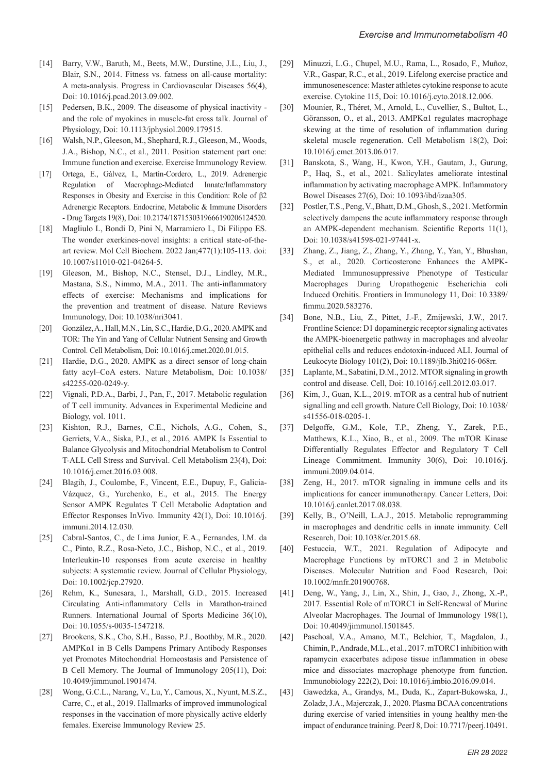- [14] Barry, V.W., Baruth, M., Beets, M.W., Durstine, J.L., Liu, J., Blair, S.N., 2014. Fitness vs. fatness on all-cause mortality: A meta-analysis. Progress in Cardiovascular Diseases 56(4), Doi: 10.1016/j.pcad.2013.09.002.
- [15] Pedersen, B.K., 2009. The diseasome of physical inactivity and the role of myokines in muscle-fat cross talk. Journal of Physiology, Doi: 10.1113/jphysiol.2009.179515.
- [16] Walsh, N.P., Gleeson, M., Shephard, R.J., Gleeson, M., Woods, J.A., Bishop, N.C., et al., 2011. Position statement part one: Immune function and exercise. Exercise Immunology Review.
- [17] Ortega, E., Gálvez, I., Martín-Cordero, L., 2019. Adrenergic Regulation of Macrophage-Mediated Innate/Inflammatory Responses in Obesity and Exercise in this Condition: Role of β2 Adrenergic Receptors. Endocrine, Metabolic & Immune Disorders - Drug Targets 19(8), Doi: 10.2174/1871530319666190206124520.
- [18] Magliulo L, Bondi D, Pini N, Marramiero L, Di Filippo ES. The wonder exerkines-novel insights: a critical state-of-theart review. Mol Cell Biochem. 2022 Jan;477(1):105-113. doi: 10.1007/s11010-021-04264-5.
- [19] Gleeson, M., Bishop, N.C., Stensel, D.J., Lindley, M.R., Mastana, S.S., Nimmo, M.A., 2011. The anti-inflammatory effects of exercise: Mechanisms and implications for the prevention and treatment of disease. Nature Reviews Immunology, Doi: 10.1038/nri3041.
- [20] González, A., Hall, M.N., Lin, S.C., Hardie, D.G., 2020. AMPK and TOR: The Yin and Yang of Cellular Nutrient Sensing and Growth Control. Cell Metabolism, Doi: 10.1016/j.cmet.2020.01.015.
- [21] Hardie, D.G., 2020. AMPK as a direct sensor of long-chain fatty acyl–CoA esters. Nature Metabolism, Doi: 10.1038/ s42255-020-0249-y.
- [22] Vignali, P.D.A., Barbi, J., Pan, F., 2017. Metabolic regulation of T cell immunity. Advances in Experimental Medicine and Biology, vol. 1011.
- [23] Kishton, R.J., Barnes, C.E., Nichols, A.G., Cohen, S., Gerriets, V.A., Siska, P.J., et al., 2016. AMPK Is Essential to Balance Glycolysis and Mitochondrial Metabolism to Control T-ALL Cell Stress and Survival. Cell Metabolism 23(4), Doi: 10.1016/j.cmet.2016.03.008.
- [24] Blagih, J., Coulombe, F., Vincent, E.E., Dupuy, F., Galicia-Vázquez, G., Yurchenko, E., et al., 2015. The Energy Sensor AMPK Regulates T Cell Metabolic Adaptation and Effector Responses InVivo. Immunity 42(1), Doi: 10.1016/j. immuni.2014.12.030.
- [25] Cabral-Santos, C., de Lima Junior, E.A., Fernandes, I.M. da C., Pinto, R.Z., Rosa-Neto, J.C., Bishop, N.C., et al., 2019. Interleukin-10 responses from acute exercise in healthy subjects: A systematic review. Journal of Cellular Physiology, Doi: 10.1002/jcp.27920.
- [26] Rehm, K., Sunesara, I., Marshall, G.D., 2015. Increased Circulating Anti-inflammatory Cells in Marathon-trained Runners. International Journal of Sports Medicine 36(10), Doi: 10.1055/s-0035-1547218.
- [27] Brookens, S.K., Cho, S.H., Basso, P.J., Boothby, M.R., 2020. AMPKα1 in B Cells Dampens Primary Antibody Responses yet Promotes Mitochondrial Homeostasis and Persistence of B Cell Memory. The Journal of Immunology 205(11), Doi: 10.4049/jimmunol.1901474.
- [28] Wong, G.C.L., Narang, V., Lu, Y., Camous, X., Nyunt, M.S.Z., Carre, C., et al., 2019. Hallmarks of improved immunological responses in the vaccination of more physically active elderly females. Exercise Immunology Review 25.
- [29] Minuzzi, L.G., Chupel, M.U., Rama, L., Rosado, F., Muñoz, V.R., Gaspar, R.C., et al., 2019. Lifelong exercise practice and immunosenescence: Master athletes cytokine response to acute exercise. Cytokine 115, Doi: 10.1016/j.cyto.2018.12.006.
- [30] Mounier, R., Théret, M., Arnold, L., Cuvellier, S., Bultot, L., Göransson, O., et al., 2013. AMPKα1 regulates macrophage skewing at the time of resolution of inflammation during skeletal muscle regeneration. Cell Metabolism 18(2), Doi: 10.1016/j.cmet.2013.06.017.
- [31] Banskota, S., Wang, H., Kwon, Y.H., Gautam, J., Gurung, P., Haq, S., et al., 2021. Salicylates ameliorate intestinal inflammation by activating macrophage AMPK. Inflammatory Bowel Diseases 27(6), Doi: 10.1093/ibd/izaa305.
- [32] Postler, T.S., Peng, V., Bhatt, D.M., Ghosh, S., 2021. Metformin selectively dampens the acute inflammatory response through an AMPK-dependent mechanism. Scientific Reports 11(1), Doi: 10.1038/s41598-021-97441-x.
- [33] Zhang, Z., Jiang, Z., Zhang, Y., Zhang, Y., Yan, Y., Bhushan, S., et al., 2020. Corticosterone Enhances the AMPK-Mediated Immunosuppressive Phenotype of Testicular Macrophages During Uropathogenic Escherichia coli Induced Orchitis. Frontiers in Immunology 11, Doi: 10.3389/ fimmu.2020.583276.
- [34] Bone, N.B., Liu, Z., Pittet, J.-F., Zmijewski, J.W., 2017. Frontline Science: D1 dopaminergic receptor signaling activates the AMPK-bioenergetic pathway in macrophages and alveolar epithelial cells and reduces endotoxin-induced ALI. Journal of Leukocyte Biology 101(2), Doi: 10.1189/jlb.3hi0216-068rr.
- [35] Laplante, M., Sabatini, D.M., 2012. MTOR signaling in growth control and disease. Cell, Doi: 10.1016/j.cell.2012.03.017.
- [36] Kim, J., Guan, K.L., 2019. mTOR as a central hub of nutrient signalling and cell growth. Nature Cell Biology, Doi: 10.1038/ s41556-018-0205-1.
- [37] Delgoffe, G.M., Kole, T.P., Zheng, Y., Zarek, P.E., Matthews, K.L., Xiao, B., et al., 2009. The mTOR Kinase Differentially Regulates Effector and Regulatory T Cell Lineage Commitment. Immunity 30(6), Doi: 10.1016/j. immuni.2009.04.014.
- [38] Zeng, H., 2017. mTOR signaling in immune cells and its implications for cancer immunotherapy. Cancer Letters, Doi: 10.1016/j.canlet.2017.08.038.
- [39] Kelly, B., O'Neill, L.A.J., 2015. Metabolic reprogramming in macrophages and dendritic cells in innate immunity. Cell Research, Doi: 10.1038/cr.2015.68.
- [40] Festuccia, W.T., 2021. Regulation of Adipocyte and Macrophage Functions by mTORC1 and 2 in Metabolic Diseases. Molecular Nutrition and Food Research, Doi: 10.1002/mnfr.201900768.
- [41] Deng, W., Yang, J., Lin, X., Shin, J., Gao, J., Zhong, X.-P., 2017. Essential Role of mTORC1 in Self-Renewal of Murine Alveolar Macrophages. The Journal of Immunology 198(1), Doi: 10.4049/jimmunol.1501845.
- [42] Paschoal, V.A., Amano, M.T., Belchior, T., Magdalon, J., Chimin, P., Andrade, M.L., et al., 2017. mTORC1 inhibition with rapamycin exacerbates adipose tissue inflammation in obese mice and dissociates macrophage phenotype from function. Immunobiology 222(2), Doi: 10.1016/j.imbio.2016.09.014.
- [43] Gawedzka, A., Grandys, M., Duda, K., Zapart-Bukowska, J., Zoladz, J.A., Majerczak, J., 2020. Plasma BCAA concentrations during exercise of varied intensities in young healthy men-the impact of endurance training. PeerJ 8, Doi: 10.7717/peerj.10491.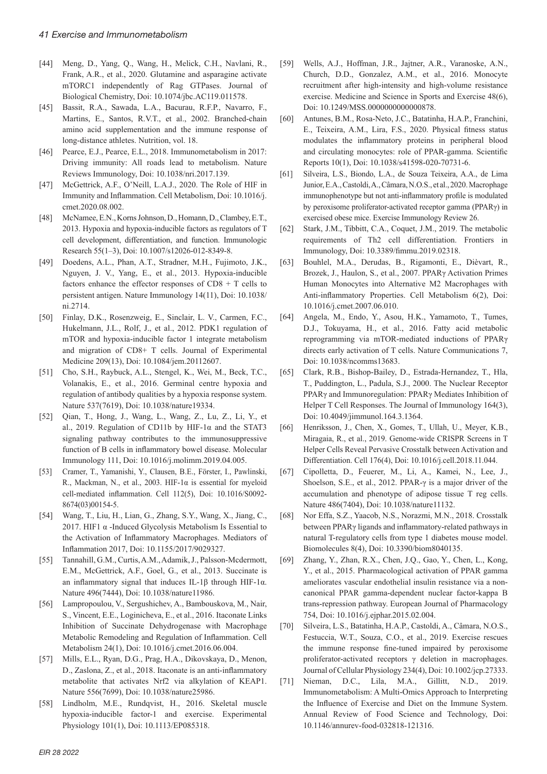- [44] Meng, D., Yang, Q., Wang, H., Melick, C.H., Navlani, R., Frank, A.R., et al., 2020. Glutamine and asparagine activate mTORC1 independently of Rag GTPases. Journal of Biological Chemistry, Doi: 10.1074/jbc.AC119.011578.
- [45] Bassit, R.A., Sawada, L.A., Bacurau, R.F.P., Navarro, F., Martins, E., Santos, R.V.T., et al., 2002. Branched-chain amino acid supplementation and the immune response of long-distance athletes. Nutrition, vol. 18.
- [46] Pearce, E.J., Pearce, E.L., 2018. Immunometabolism in 2017: Driving immunity: All roads lead to metabolism. Nature Reviews Immunology, Doi: 10.1038/nri.2017.139.
- [47] McGettrick, A.F., O'Neill, L.A.J., 2020. The Role of HIF in Immunity and Inflammation. Cell Metabolism, Doi: 10.1016/j. cmet.2020.08.002.
- [48] McNamee, E.N., Korns Johnson, D., Homann, D., Clambey, E.T., 2013. Hypoxia and hypoxia-inducible factors as regulators of T cell development, differentiation, and function. Immunologic Research 55(1–3), Doi: 10.1007/s12026-012-8349-8.
- [49] Doedens, A.L., Phan, A.T., Stradner, M.H., Fujimoto, J.K., Nguyen, J. V., Yang, E., et al., 2013. Hypoxia-inducible factors enhance the effector responses of CD8 + T cells to persistent antigen. Nature Immunology 14(11), Doi: 10.1038/ ni.2714.
- [50] Finlay, D.K., Rosenzweig, E., Sinclair, L. V., Carmen, F.C., Hukelmann, J.L., Rolf, J., et al., 2012. PDK1 regulation of mTOR and hypoxia-inducible factor 1 integrate metabolism and migration of CD8+ T cells. Journal of Experimental Medicine 209(13), Doi: 10.1084/jem.20112607.
- [51] Cho, S.H., Raybuck, A.L., Stengel, K., Wei, M., Beck, T.C., Volanakis, E., et al., 2016. Germinal centre hypoxia and regulation of antibody qualities by a hypoxia response system. Nature 537(7619), Doi: 10.1038/nature19334.
- [52] Qian, T., Hong, J., Wang, L., Wang, Z., Lu, Z., Li, Y., et al., 2019. Regulation of CD11b by HIF-1α and the STAT3 signaling pathway contributes to the immunosuppressive function of B cells in inflammatory bowel disease. Molecular Immunology 111, Doi: 10.1016/j.molimm.2019.04.005.
- [53] Cramer, T., Yamanishi, Y., Clausen, B.E., Förster, I., Pawlinski, R., Mackman, N., et al., 2003. HIF-1α is essential for myeloid cell-mediated inflammation. Cell 112(5), Doi: 10.1016/S0092- 8674(03)00154-5.
- [54] Wang, T., Liu, H., Lian, G., Zhang, S.Y., Wang, X., Jiang, C., 2017. HIF1 α -Induced Glycolysis Metabolism Is Essential to the Activation of Inflammatory Macrophages. Mediators of Inflammation 2017, Doi: 10.1155/2017/9029327.
- [55] Tannahill, G.M., Curtis, A.M., Adamik, J., Palsson-Mcdermott, E.M., McGettrick, A.F., Goel, G., et al., 2013. Succinate is an inflammatory signal that induces IL-1β through HIF-1 $\alpha$ . Nature 496(7444), Doi: 10.1038/nature11986.
- [56] Lampropoulou, V., Sergushichev, A., Bambouskova, M., Nair, S., Vincent, E.E., Loginicheva, E., et al., 2016. Itaconate Links Inhibition of Succinate Dehydrogenase with Macrophage Metabolic Remodeling and Regulation of Inflammation. Cell Metabolism 24(1), Doi: 10.1016/j.cmet.2016.06.004.
- [57] Mills, E.L., Ryan, D.G., Prag, H.A., Dikovskaya, D., Menon, D., Zaslona, Z., et al., 2018. Itaconate is an anti-inflammatory metabolite that activates Nrf2 via alkylation of KEAP1. Nature 556(7699), Doi: 10.1038/nature25986.
- [58] Lindholm, M.E., Rundqvist, H., 2016. Skeletal muscle hypoxia-inducible factor-1 and exercise. Experimental Physiology 101(1), Doi: 10.1113/EP085318.
- [59] Wells, A.J., Hoffman, J.R., Jajtner, A.R., Varanoske, A.N., Church, D.D., Gonzalez, A.M., et al., 2016. Monocyte recruitment after high-intensity and high-volume resistance exercise. Medicine and Science in Sports and Exercise 48(6), Doi: 10.1249/MSS.0000000000000878.
- [60] Antunes, B.M., Rosa-Neto, J.C., Batatinha, H.A.P., Franchini, E., Teixeira, A.M., Lira, F.S., 2020. Physical fitness status modulates the inflammatory proteins in peripheral blood and circulating monocytes: role of PPAR-gamma. Scientific Reports 10(1), Doi: 10.1038/s41598-020-70731-6.
- [61] Silveira, L.S., Biondo, L.A., de Souza Teixeira, A.A., de Lima Junior, E.A., Castoldi, A., Câmara, N.O.S., et al., 2020. Macrophage immunophenotype but not anti-inflammatory profile is modulated by peroxisome proliferator-activated receptor gamma (PPARγ) in exercised obese mice. Exercise Immunology Review 26.
- [62] Stark, J.M., Tibbitt, C.A., Coquet, J.M., 2019. The metabolic requirements of Th2 cell differentiation. Frontiers in Immunology, Doi: 10.3389/fimmu.2019.02318.
- [63] Bouhlel, M.A., Derudas, B., Rigamonti, E., Dièvart, R., Brozek, J., Haulon, S., et al., 2007. PPARγ Activation Primes Human Monocytes into Alternative M2 Macrophages with Anti-inflammatory Properties. Cell Metabolism 6(2), Doi: 10.1016/j.cmet.2007.06.010.
- [64] Angela, M., Endo, Y., Asou, H.K., Yamamoto, T., Tumes, D.J., Tokuyama, H., et al., 2016. Fatty acid metabolic reprogramming via mTOR-mediated inductions of PPARγ directs early activation of T cells. Nature Communications 7, Doi: 10.1038/ncomms13683.
- [65] Clark, R.B., Bishop-Bailey, D., Estrada-Hernandez, T., Hla, T., Puddington, L., Padula, S.J., 2000. The Nuclear Receptor PPARγ and Immunoregulation: PPARγ Mediates Inhibition of Helper T Cell Responses. The Journal of Immunology 164(3), Doi: 10.4049/jimmunol.164.3.1364.
- [66] Henriksson, J., Chen, X., Gomes, T., Ullah, U., Meyer, K.B., Miragaia, R., et al., 2019. Genome-wide CRISPR Screens in T Helper Cells Reveal Pervasive Crosstalk between Activation and Differentiation. Cell 176(4), Doi: 10.1016/j.cell.2018.11.044.
- [67] Cipolletta, D., Feuerer, M., Li, A., Kamei, N., Lee, J., Shoelson, S.E., et al., 2012. PPAR-γ is a major driver of the accumulation and phenotype of adipose tissue T reg cells. Nature 486(7404), Doi: 10.1038/nature11132.
- [68] Nor Effa, S.Z., Yaacob, N.S., Norazmi, M.N., 2018. Crosstalk between PPARγ ligands and inflammatory-related pathways in natural T-regulatory cells from type 1 diabetes mouse model. Biomolecules 8(4), Doi: 10.3390/biom8040135.
- [69] Zhang, Y., Zhan, R.X., Chen, J.Q., Gao, Y., Chen, L., Kong, Y., et al., 2015. Pharmacological activation of PPAR gamma ameliorates vascular endothelial insulin resistance via a noncanonical PPAR gamma-dependent nuclear factor-kappa B trans-repression pathway. European Journal of Pharmacology 754, Doi: 10.1016/j.ejphar.2015.02.004.
- [70] Silveira, L.S., Batatinha, H.A.P., Castoldi, A., Câmara, N.O.S., Festuccia, W.T., Souza, C.O., et al., 2019. Exercise rescues the immune response fine-tuned impaired by peroxisome proliferator-activated receptors γ deletion in macrophages. Journal of Cellular Physiology 234(4), Doi: 10.1002/jcp.27333.
- [71] Nieman, D.C., Lila, M.A., Gillitt, N.D., 2019. Immunometabolism: A Multi-Omics Approach to Interpreting the Influence of Exercise and Diet on the Immune System. Annual Review of Food Science and Technology, Doi: 10.1146/annurev-food-032818-121316.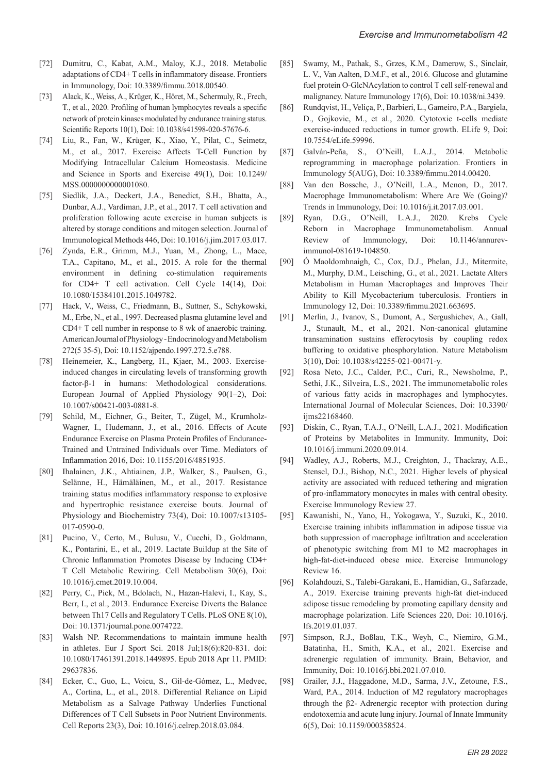- [72] Dumitru, C., Kabat, A.M., Maloy, K.J., 2018. Metabolic adaptations of CD4+ T cells in inflammatory disease. Frontiers in Immunology, Doi: 10.3389/fimmu.2018.00540.
- [73] Alack, K., Weiss, A., Krüger, K., Höret, M., Schermuly, R., Frech, T., et al., 2020. Profiling of human lymphocytes reveals a specific network of protein kinases modulated by endurance training status. Scientific Reports 10(1), Doi: 10.1038/s41598-020-57676-6.
- [74] Liu, R., Fan, W., Krüger, K., Xiao, Y., Pilat, C., Seimetz, M., et al., 2017. Exercise Affects T-Cell Function by Modifying Intracellular Calcium Homeostasis. Medicine and Science in Sports and Exercise 49(1), Doi: 10.1249/ MSS.0000000000001080.
- [75] Siedlik, J.A., Deckert, J.A., Benedict, S.H., Bhatta, A., Dunbar, A.J., Vardiman, J.P., et al., 2017. T cell activation and proliferation following acute exercise in human subjects is altered by storage conditions and mitogen selection. Journal of Immunological Methods 446, Doi: 10.1016/j.jim.2017.03.017.
- [76] Zynda, E.R., Grimm, M.J., Yuan, M., Zhong, L., Mace, T.A., Capitano, M., et al., 2015. A role for the thermal environment in defining co-stimulation requirements for CD4+ T cell activation. Cell Cycle 14(14), Doi: 10.1080/15384101.2015.1049782.
- [77] Hack, V., Weiss, C., Friedmann, B., Suttner, S., Schykowski, M., Erbe, N., et al., 1997. Decreased plasma glutamine level and CD4+ T cell number in response to 8 wk of anaerobic training. American Journal of Physiology - Endocrinology and Metabolism 272(5 35-5), Doi: 10.1152/ajpendo.1997.272.5.e788.
- [78] Heinemeier, K., Langberg, H., Kjaer, M., 2003. Exerciseinduced changes in circulating levels of transforming growth factor-β-1 in humans: Methodological considerations. European Journal of Applied Physiology 90(1–2), Doi: 10.1007/s00421-003-0881-8.
- [79] Schild, M., Eichner, G., Beiter, T., Zügel, M., Krumholz-Wagner, I., Hudemann, J., et al., 2016. Effects of Acute Endurance Exercise on Plasma Protein Profiles of Endurance-Trained and Untrained Individuals over Time. Mediators of Inflammation 2016, Doi: 10.1155/2016/4851935.
- [80] Ihalainen, J.K., Ahtiainen, J.P., Walker, S., Paulsen, G., Selänne, H., Hämäläinen, M., et al., 2017. Resistance training status modifies inflammatory response to explosive and hypertrophic resistance exercise bouts. Journal of Physiology and Biochemistry 73(4), Doi: 10.1007/s13105- 017-0590-0.
- [81] Pucino, V., Certo, M., Bulusu, V., Cucchi, D., Goldmann, K., Pontarini, E., et al., 2019. Lactate Buildup at the Site of Chronic Inflammation Promotes Disease by Inducing CD4+ T Cell Metabolic Rewiring. Cell Metabolism 30(6), Doi: 10.1016/j.cmet.2019.10.004.
- [82] Perry, C., Pick, M., Bdolach, N., Hazan-Halevi, I., Kay, S., Berr, I., et al., 2013. Endurance Exercise Diverts the Balance between Th17 Cells and Regulatory T Cells. PLoS ONE 8(10), Doi: 10.1371/journal.pone.0074722.
- [83] Walsh NP. Recommendations to maintain immune health in athletes. Eur J Sport Sci. 2018 Jul;18(6):820-831. doi: 10.1080/17461391.2018.1449895. Epub 2018 Apr 11. PMID: 29637836.
- [84] Ecker, C., Guo, L., Voicu, S., Gil-de-Gómez, L., Medvec, A., Cortina, L., et al., 2018. Differential Reliance on Lipid Metabolism as a Salvage Pathway Underlies Functional Differences of T Cell Subsets in Poor Nutrient Environments. Cell Reports 23(3), Doi: 10.1016/j.celrep.2018.03.084.
- [85] Swamy, M., Pathak, S., Grzes, K.M., Damerow, S., Sinclair, L. V., Van Aalten, D.M.F., et al., 2016. Glucose and glutamine fuel protein O-GlcNAcylation to control T cell self-renewal and malignancy. Nature Immunology 17(6), Doi: 10.1038/ni.3439.
- [86] Rundqvist, H., Veliça, P., Barbieri, L., Gameiro, P.A., Bargiela, D., Gojkovic, M., et al., 2020. Cytotoxic t-cells mediate exercise-induced reductions in tumor growth. ELife 9, Doi: 10.7554/eLife.59996.
- [87] Galván-Peña, S., O'Neill, L.A.J., 2014. Metabolic reprogramming in macrophage polarization. Frontiers in Immunology 5(AUG), Doi: 10.3389/fimmu.2014.00420.
- [88] Van den Bossche, J., O'Neill, L.A., Menon, D., 2017. Macrophage Immunometabolism: Where Are We (Going)? Trends in Immunology, Doi: 10.1016/j.it.2017.03.001.
- [89] Ryan, D.G., O'Neill, L.A.J., 2020. Krebs Cycle Reborn in Macrophage Immunometabolism. Annual Review of Immunology, Doi: 10.1146/annurevimmunol-081619-104850.
- [90] Ó Maoldomhnaigh, C., Cox, D.J., Phelan, J.J., Mitermite, M., Murphy, D.M., Leisching, G., et al., 2021. Lactate Alters Metabolism in Human Macrophages and Improves Their Ability to Kill Mycobacterium tuberculosis. Frontiers in Immunology 12, Doi: 10.3389/fimmu.2021.663695.
- [91] Merlin, J., Ivanov, S., Dumont, A., Sergushichev, A., Gall, J., Stunault, M., et al., 2021. Non-canonical glutamine transamination sustains efferocytosis by coupling redox buffering to oxidative phosphorylation. Nature Metabolism 3(10), Doi: 10.1038/s42255-021-00471-y.
- [92] Rosa Neto, J.C., Calder, P.C., Curi, R., Newsholme, P., Sethi, J.K., Silveira, L.S., 2021. The immunometabolic roles of various fatty acids in macrophages and lymphocytes. International Journal of Molecular Sciences, Doi: 10.3390/ ijms22168460.
- [93] Diskin, C., Ryan, T.A.J., O'Neill, L.A.J., 2021. Modification of Proteins by Metabolites in Immunity. Immunity, Doi: 10.1016/j.immuni.2020.09.014.
- [94] Wadley, A.J., Roberts, M.J., Creighton, J., Thackray, A.E., Stensel, D.J., Bishop, N.C., 2021. Higher levels of physical activity are associated with reduced tethering and migration of pro-inflammatory monocytes in males with central obesity. Exercise Immunology Review 27.
- [95] Kawanishi, N., Yano, H., Yokogawa, Y., Suzuki, K., 2010. Exercise training inhibits inflammation in adipose tissue via both suppression of macrophage infiltration and acceleration of phenotypic switching from M1 to M2 macrophages in high-fat-diet-induced obese mice. Exercise Immunology Review 16.
- [96] Kolahdouzi, S., Talebi-Garakani, E., Hamidian, G., Safarzade, A., 2019. Exercise training prevents high-fat diet-induced adipose tissue remodeling by promoting capillary density and macrophage polarization. Life Sciences 220, Doi: 10.1016/j. lfs.2019.01.037.
- [97] Simpson, R.J., Boßlau, T.K., Weyh, C., Niemiro, G.M., Batatinha, H., Smith, K.A., et al., 2021. Exercise and adrenergic regulation of immunity. Brain, Behavior, and Immunity, Doi: 10.1016/j.bbi.2021.07.010.
- [98] Grailer, J.J., Haggadone, M.D., Sarma, J.V., Zetoune, F.S., Ward, P.A., 2014. Induction of M2 regulatory macrophages through the β2- Adrenergic receptor with protection during endotoxemia and acute lung injury. Journal of Innate Immunity 6(5), Doi: 10.1159/000358524.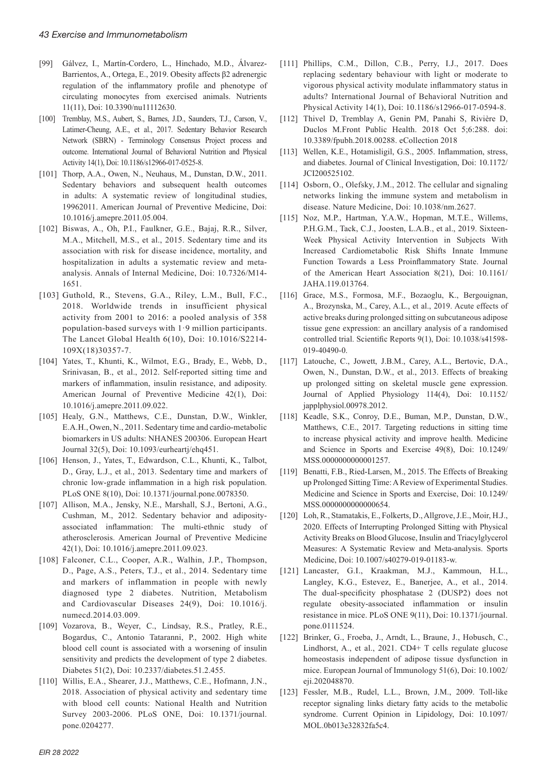- [99] Gálvez, I., Martín-Cordero, L., Hinchado, M.D., Álvarez-Barrientos, A., Ortega, E., 2019. Obesity affects β2 adrenergic regulation of the inflammatory profile and phenotype of circulating monocytes from exercised animals. Nutrients 11(11), Doi: 10.3390/nu11112630.
- [100] Tremblay, M.S., Aubert, S., Barnes, J.D., Saunders, T.J., Carson, V., Latimer-Cheung, A.E., et al., 2017. Sedentary Behavior Research Network (SBRN) - Terminology Consensus Project process and outcome. International Journal of Behavioral Nutrition and Physical Activity 14(1), Doi: 10.1186/s12966-017-0525-8.
- [101] Thorp, A.A., Owen, N., Neuhaus, M., Dunstan, D.W., 2011. Sedentary behaviors and subsequent health outcomes in adults: A systematic review of longitudinal studies, 19962011. American Journal of Preventive Medicine, Doi: 10.1016/j.amepre.2011.05.004.
- [102] Biswas, A., Oh, P.I., Faulkner, G.E., Bajaj, R.R., Silver, M.A., Mitchell, M.S., et al., 2015. Sedentary time and its association with risk for disease incidence, mortality, and hospitalization in adults a systematic review and metaanalysis. Annals of Internal Medicine, Doi: 10.7326/M14- 1651.
- [103] Guthold, R., Stevens, G.A., Riley, L.M., Bull, F.C., 2018. Worldwide trends in insufficient physical activity from 2001 to 2016: a pooled analysis of 358 population-based surveys with 1·9 million participants. The Lancet Global Health 6(10), Doi: 10.1016/S2214- 109X(18)30357-7.
- [104] Yates, T., Khunti, K., Wilmot, E.G., Brady, E., Webb, D., Srinivasan, B., et al., 2012. Self-reported sitting time and markers of inflammation, insulin resistance, and adiposity. American Journal of Preventive Medicine 42(1), Doi: 10.1016/j.amepre.2011.09.022.
- [105] Healy, G.N., Matthews, C.E., Dunstan, D.W., Winkler, E.A.H., Owen, N., 2011. Sedentary time and cardio-metabolic biomarkers in US adults: NHANES 200306. European Heart Journal 32(5), Doi: 10.1093/eurheartj/ehq451.
- [106] Henson, J., Yates, T., Edwardson, C.L., Khunti, K., Talbot, D., Gray, L.J., et al., 2013. Sedentary time and markers of chronic low-grade inflammation in a high risk population. PLoS ONE 8(10), Doi: 10.1371/journal.pone.0078350.
- [107] Allison, M.A., Jensky, N.E., Marshall, S.J., Bertoni, A.G., Cushman, M., 2012. Sedentary behavior and adiposityassociated inflammation: The multi-ethnic study of atherosclerosis. American Journal of Preventive Medicine 42(1), Doi: 10.1016/j.amepre.2011.09.023.
- [108] Falconer, C.L., Cooper, A.R., Walhin, J.P., Thompson, D., Page, A.S., Peters, T.J., et al., 2014. Sedentary time and markers of inflammation in people with newly diagnosed type 2 diabetes. Nutrition, Metabolism and Cardiovascular Diseases 24(9), Doi: 10.1016/j. numecd.2014.03.009.
- [109] Vozarova, B., Weyer, C., Lindsay, R.S., Pratley, R.E., Bogardus, C., Antonio Tataranni, P., 2002. High white blood cell count is associated with a worsening of insulin sensitivity and predicts the development of type 2 diabetes. Diabetes 51(2), Doi: 10.2337/diabetes.51.2.455.
- [110] Willis, E.A., Shearer, J.J., Matthews, C.E., Hofmann, J.N., 2018. Association of physical activity and sedentary time with blood cell counts: National Health and Nutrition Survey 2003-2006. PLoS ONE, Doi: 10.1371/journal. pone.0204277.
- [111] Phillips, C.M., Dillon, C.B., Perry, I.J., 2017. Does replacing sedentary behaviour with light or moderate to vigorous physical activity modulate inflammatory status in adults? International Journal of Behavioral Nutrition and Physical Activity 14(1), Doi: 10.1186/s12966-017-0594-8.
- [112] Thivel D, Tremblay A, Genin PM, Panahi S, Rivière D, Duclos M.Front Public Health. 2018 Oct 5;6:288. doi: 10.3389/fpubh.2018.00288. eCollection 2018
- [113] Wellen, K.E., Hotamisligil, G.S., 2005. Inflammation, stress, and diabetes. Journal of Clinical Investigation, Doi: 10.1172/ JCI200525102.
- [114] Osborn, O., Olefsky, J.M., 2012. The cellular and signaling networks linking the immune system and metabolism in disease. Nature Medicine, Doi: 10.1038/nm.2627.
- [115] Noz, M.P., Hartman, Y.A.W., Hopman, M.T.E., Willems, P.H.G.M., Tack, C.J., Joosten, L.A.B., et al., 2019. Sixteen-Week Physical Activity Intervention in Subjects With Increased Cardiometabolic Risk Shifts Innate Immune Function Towards a Less Proinflammatory State. Journal of the American Heart Association 8(21), Doi: 10.1161/ JAHA.119.013764.
- [116] Grace, M.S., Formosa, M.F., Bozaoglu, K., Bergouignan, A., Brozynska, M., Carey, A.L., et al., 2019. Acute effects of active breaks during prolonged sitting on subcutaneous adipose tissue gene expression: an ancillary analysis of a randomised controlled trial. Scientific Reports 9(1), Doi: 10.1038/s41598- 019-40490-0.
- [117] Latouche, C., Jowett, J.B.M., Carey, A.L., Bertovic, D.A., Owen, N., Dunstan, D.W., et al., 2013. Effects of breaking up prolonged sitting on skeletal muscle gene expression. Journal of Applied Physiology 114(4), Doi: 10.1152/ japplphysiol.00978.2012.
- [118] Keadle, S.K., Conroy, D.E., Buman, M.P., Dunstan, D.W., Matthews, C.E., 2017. Targeting reductions in sitting time to increase physical activity and improve health. Medicine and Science in Sports and Exercise 49(8), Doi: 10.1249/ MSS.0000000000001257.
- [119] Benatti, F.B., Ried-Larsen, M., 2015. The Effects of Breaking up Prolonged Sitting Time: A Review of Experimental Studies. Medicine and Science in Sports and Exercise, Doi: 10.1249/ MSS.0000000000000654.
- [120] Loh, R., Stamatakis, E., Folkerts, D., Allgrove, J.E., Moir, H.J., 2020. Effects of Interrupting Prolonged Sitting with Physical Activity Breaks on Blood Glucose, Insulin and Triacylglycerol Measures: A Systematic Review and Meta-analysis. Sports Medicine, Doi: 10.1007/s40279-019-01183-w.
- [121] Lancaster, G.I., Kraakman, M.J., Kammoun, H.L., Langley, K.G., Estevez, E., Banerjee, A., et al., 2014. The dual-specificity phosphatase 2 (DUSP2) does not regulate obesity-associated inflammation or insulin resistance in mice. PLoS ONE 9(11), Doi: 10.1371/journal. pone.0111524.
- [122] Brinker, G., Froeba, J., Arndt, L., Braune, J., Hobusch, C., Lindhorst, A., et al., 2021. CD4+ T cells regulate glucose homeostasis independent of adipose tissue dysfunction in mice. European Journal of Immunology 51(6), Doi: 10.1002/ eji.202048870.
- [123] Fessler, M.B., Rudel, L.L., Brown, J.M., 2009. Toll-like receptor signaling links dietary fatty acids to the metabolic syndrome. Current Opinion in Lipidology, Doi: 10.1097/ MOL.0b013e32832fa5c4.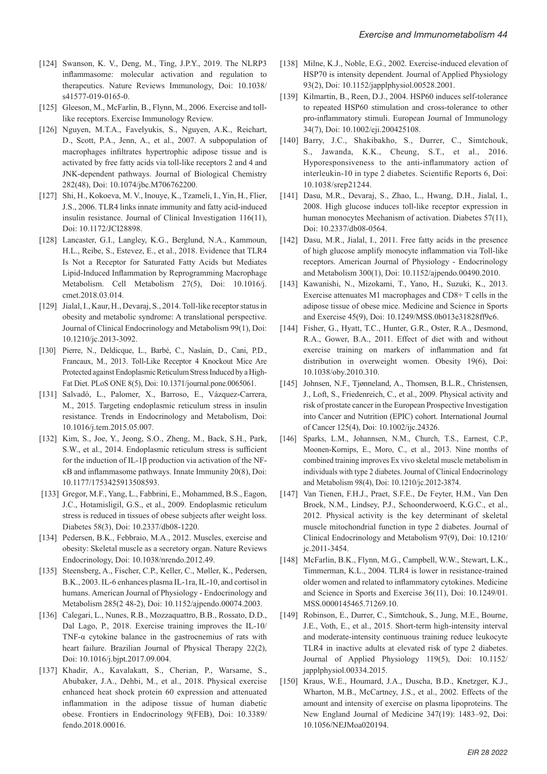- [124] Swanson, K. V., Deng, M., Ting, J.P.Y., 2019. The NLRP3 inflammasome: molecular activation and regulation to therapeutics. Nature Reviews Immunology, Doi: 10.1038/ s41577-019-0165-0.
- [125] Gleeson, M., McFarlin, B., Flynn, M., 2006. Exercise and tolllike receptors. Exercise Immunology Review.
- [126] Nguyen, M.T.A., Favelyukis, S., Nguyen, A.K., Reichart, D., Scott, P.A., Jenn, A., et al., 2007. A subpopulation of macrophages infiltrates hypertrophic adipose tissue and is activated by free fatty acids via toll-like receptors 2 and 4 and JNK-dependent pathways. Journal of Biological Chemistry 282(48), Doi: 10.1074/jbc.M706762200.
- [127] Shi, H., Kokoeva, M. V., Inouye, K., Tzameli, I., Yin, H., Flier, J.S., 2006. TLR4 links innate immunity and fatty acid-induced insulin resistance. Journal of Clinical Investigation 116(11), Doi: 10.1172/JCI28898.
- [128] Lancaster, G.I., Langley, K.G., Berglund, N.A., Kammoun, H.L., Reibe, S., Estevez, E., et al., 2018. Evidence that TLR4 Is Not a Receptor for Saturated Fatty Acids but Mediates Lipid-Induced Inflammation by Reprogramming Macrophage Metabolism. Cell Metabolism 27(5), Doi: 10.1016/j. cmet.2018.03.014.
- [129] Jialal, I., Kaur, H., Devaraj, S., 2014. Toll-like receptor status in obesity and metabolic syndrome: A translational perspective. Journal of Clinical Endocrinology and Metabolism 99(1), Doi: 10.1210/jc.2013-3092.
- [130] Pierre, N., Deldicque, L., Barbé, C., Naslain, D., Cani, P.D., Francaux, M., 2013. Toll-Like Receptor 4 Knockout Mice Are Protected against Endoplasmic Reticulum Stress Induced by a High-Fat Diet. PLoS ONE 8(5), Doi: 10.1371/journal.pone.0065061.
- [131] Salvadó, L., Palomer, X., Barroso, E., Vázquez-Carrera, M., 2015. Targeting endoplasmic reticulum stress in insulin resistance. Trends in Endocrinology and Metabolism, Doi: 10.1016/j.tem.2015.05.007.
- [132] Kim, S., Joe, Y., Jeong, S.O., Zheng, M., Back, S.H., Park, S.W., et al., 2014. Endoplasmic reticulum stress is sufficient for the induction of IL-1β production via activation of the NFκB and inflammasome pathways. Innate Immunity 20(8), Doi: 10.1177/1753425913508593.
- [133] Gregor, M.F., Yang, L., Fabbrini, E., Mohammed, B.S., Eagon, J.C., Hotamisligil, G.S., et al., 2009. Endoplasmic reticulum stress is reduced in tissues of obese subjects after weight loss. Diabetes 58(3), Doi: 10.2337/db08-1220.
- [134] Pedersen, B.K., Febbraio, M.A., 2012. Muscles, exercise and obesity: Skeletal muscle as a secretory organ. Nature Reviews Endocrinology, Doi: 10.1038/nrendo.2012.49.
- [135] Steensberg, A., Fischer, C.P., Keller, C., Møller, K., Pedersen, B.K., 2003. IL-6 enhances plasma IL-1ra, IL-10, and cortisol in humans. American Journal of Physiology - Endocrinology and Metabolism 285(2 48-2), Doi: 10.1152/ajpendo.00074.2003.
- [136] Calegari, L., Nunes, R.B., Mozzaquattro, B.B., Rossato, D.D., Dal Lago, P., 2018. Exercise training improves the IL-10/ TNF-α cytokine balance in the gastrocnemius of rats with heart failure. Brazilian Journal of Physical Therapy 22(2), Doi: 10.1016/j.bjpt.2017.09.004.
- [137] Khadir, A., Kavalakatt, S., Cherian, P., Warsame, S., Abubaker, J.A., Dehbi, M., et al., 2018. Physical exercise enhanced heat shock protein 60 expression and attenuated inflammation in the adipose tissue of human diabetic obese. Frontiers in Endocrinology 9(FEB), Doi: 10.3389/ fendo.2018.00016.
- [138] Milne, K.J., Noble, E.G., 2002. Exercise-induced elevation of HSP70 is intensity dependent. Journal of Applied Physiology 93(2), Doi: 10.1152/japplphysiol.00528.2001.
- [139] Kilmartin, B., Reen, D.J., 2004. HSP60 induces self-tolerance to repeated HSP60 stimulation and cross-tolerance to other pro-inflammatory stimuli. European Journal of Immunology 34(7), Doi: 10.1002/eji.200425108.
- [140] Barry, J.C., Shakibakho, S., Durrer, C., Simtchouk, S., Jawanda, K.K., Cheung, S.T., et al., 2016. Hyporesponsiveness to the anti-inflammatory action of interleukin-10 in type 2 diabetes. Scientific Reports 6, Doi: 10.1038/srep21244.
- [141] Dasu, M.R., Devaraj, S., Zhao, L., Hwang, D.H., Jialal, I., 2008. High glucose induces toll-like receptor expression in human monocytes Mechanism of activation. Diabetes 57(11), Doi: 10.2337/db08-0564.
- [142] Dasu, M.R., Jialal, I., 2011. Free fatty acids in the presence of high glucose amplify monocyte inflammation via Toll-like receptors. American Journal of Physiology - Endocrinology and Metabolism 300(1), Doi: 10.1152/ajpendo.00490.2010.
- [143] Kawanishi, N., Mizokami, T., Yano, H., Suzuki, K., 2013. Exercise attenuates M1 macrophages and CD8+ T cells in the adipose tissue of obese mice. Medicine and Science in Sports and Exercise 45(9), Doi: 10.1249/MSS.0b013e31828ff9c6.
- [144] Fisher, G., Hyatt, T.C., Hunter, G.R., Oster, R.A., Desmond, R.A., Gower, B.A., 2011. Effect of diet with and without exercise training on markers of inflammation and fat distribution in overweight women. Obesity 19(6), Doi: 10.1038/oby.2010.310.
- [145] Johnsen, N.F., Tjønneland, A., Thomsen, B.L.R., Christensen, J., Loft, S., Friedenreich, C., et al., 2009. Physical activity and risk of prostate cancer in the European Prospective Investigation into Cancer and Nutrition (EPIC) cohort. International Journal of Cancer 125(4), Doi: 10.1002/ijc.24326.
- [146] Sparks, L.M., Johannsen, N.M., Church, T.S., Earnest, C.P., Moonen-Kornips, E., Moro, C., et al., 2013. Nine months of combined training improves Ex vivo skeletal muscle metabolism in individuals with type 2 diabetes. Journal of Clinical Endocrinology and Metabolism 98(4), Doi: 10.1210/jc.2012-3874.
- [147] Van Tienen, F.H.J., Praet, S.F.E., De Feyter, H.M., Van Den Broek, N.M., Lindsey, P.J., Schoonderwoerd, K.G.C., et al., 2012. Physical activity is the key determinant of skeletal muscle mitochondrial function in type 2 diabetes. Journal of Clinical Endocrinology and Metabolism 97(9), Doi: 10.1210/ jc.2011-3454.
- [148] McFarlin, B.K., Flynn, M.G., Campbell, W.W., Stewart, L.K., Timmerman, K.L., 2004. TLR4 is lower in resistance-trained older women and related to inflammatory cytokines. Medicine and Science in Sports and Exercise 36(11), Doi: 10.1249/01. MSS.0000145465.71269.10.
- [149] Robinson, E., Durrer, C., Simtchouk, S., Jung, M.E., Bourne, J.E., Voth, E., et al., 2015. Short-term high-intensity interval and moderate-intensity continuous training reduce leukocyte TLR4 in inactive adults at elevated risk of type 2 diabetes. Journal of Applied Physiology 119(5), Doi: 10.1152/ japplphysiol.00334.2015.
- [150] Kraus, W.E., Houmard, J.A., Duscha, B.D., Knetzger, K.J., Wharton, M.B., McCartney, J.S., et al., 2002. Effects of the amount and intensity of exercise on plasma lipoproteins. The New England Journal of Medicine 347(19): 1483–92, Doi: 10.1056/NEJMoa020194.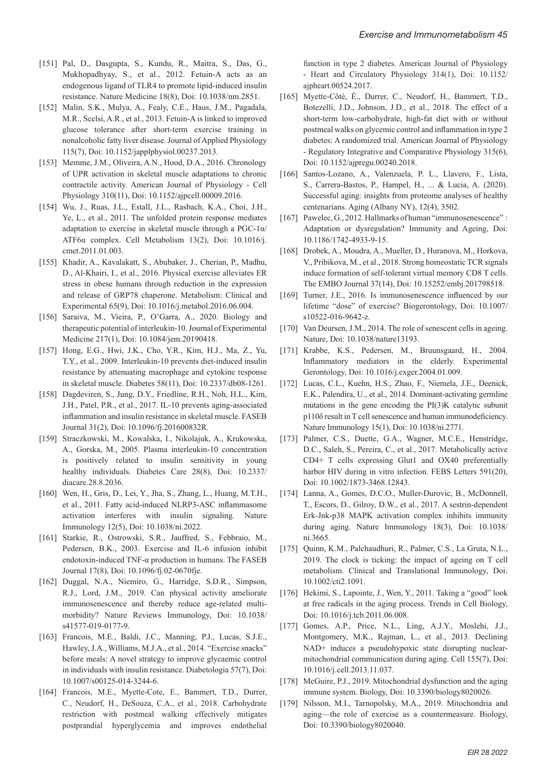- [151] Pal, D., Dasgupta, S., Kundu, R., Maitra, S., Das, G., Mukhopadhyay, S., et al., 2012. Fetuin-A acts as an endogenous ligand of TLR4 to promote lipid-induced insulin resistance. Nature Medicine 18(8), Doi: 10.1038/nm.2851.
- [152] Malin, S.K., Mulya, A., Fealy, C.E., Haus, J.M., Pagadala, M.R., Scelsi, A.R., et al., 2013. Fetuin-A is linked to improved glucose tolerance after short-term exercise training in nonalcoholic fatty liver disease. Journal of Applied Physiology 115(7), Doi: 10.1152/japplphysiol.00237.2013.
- [153] Memme, J.M., Oliveira, A.N., Hood, D.A., 2016. Chronology of UPR activation in skeletal muscle adaptations to chronic contractile activity. American Journal of Physiology - Cell Physiology 310(11), Doi: 10.1152/ajpcell.00009.2016.
- [154] Wu, J., Ruas, J.L., Estall, J.L., Rasbach, K.A., Choi, J.H., Ye, L., et al., 2011. The unfolded protein response mediates adaptation to exercise in skeletal muscle through a PGC-1α/ ATF6α complex. Cell Metabolism 13(2), Doi: 10.1016/j. cmet.2011.01.003.
- [155] Khadir, A., Kavalakatt, S., Abubaker, J., Cherian, P., Madhu, D., Al-Khairi, I., et al., 2016. Physical exercise alleviates ER stress in obese humans through reduction in the expression and release of GRP78 chaperone. Metabolism: Clinical and Experimental 65(9), Doi: 10.1016/j.metabol.2016.06.004.
- [156] Saraiva, M., Vieira, P., O'Garra, A., 2020. Biology and therapeutic potential of interleukin-10. Journal of Experimental Medicine 217(1), Doi: 10.1084/jem.20190418.
- [157] Hong, E.G., Hwi, J.K., Cho, Y.R., Kim, H.J., Ma, Z., Yu, T.Y., et al., 2009. Interleukin-10 prevents diet-induced insulin resistance by attenuating macrophage and cytokine response in skeletal muscle. Diabetes 58(11), Doi: 10.2337/db08-1261.
- [158] Dagdeviren, S., Jung, D.Y., Friedline, R.H., Noh, H.L., Kim, J.H., Patel, P.R., et al., 2017. IL-10 prevents aging-associated inflammation and insulin resistance in skeletal muscle. FASEB Journal 31(2), Doi: 10.1096/fj.201600832R.
- [159] Straczkowski, M., Kowalska, I., Nikolajuk, A., Krukowska, A., Gorska, M., 2005. Plasma interleukin-10 concentration is positively related to insulin sensitivity in young healthy individuals. Diabetes Care 28(8), Doi: 10.2337/ diacare.28.8.2036.
- [160] Wen, H., Gris, D., Lei, Y., Jha, S., Zhang, L., Huang, M.T.H., et al., 2011. Fatty acid-induced NLRP3-ASC inflammasome activation interferes with insulin signaling. Nature Immunology 12(5), Doi: 10.1038/ni.2022.
- [161] Starkie, R., Ostrowski, S.R., Jauffred, S., Febbraio, M., Pedersen, B.K., 2003. Exercise and IL-6 infusion inhibit endotoxin-induced TNF-α production in humans. The FASEB Journal 17(8), Doi: 10.1096/fj.02-0670fje.
- [162] Duggal, N.A., Niemiro, G., Harridge, S.D.R., Simpson, R.J., Lord, J.M., 2019. Can physical activity ameliorate immunosenescence and thereby reduce age-related multimorbidity? Nature Reviews Immunology, Doi: 10.1038/ s41577-019-0177-9.
- [163] Francois, M.E., Baldi, J.C., Manning, P.J., Lucas, S.J.E., Hawley, J.A., Williams, M.J.A., et al., 2014. "Exercise snacks" before meals: A novel strategy to improve glycaemic control in individuals with insulin resistance. Diabetologia 57(7), Doi: 10.1007/s00125-014-3244-6.
- [164] Francois, M.E., Myette-Cote, E., Bammert, T.D., Durrer, C., Neudorf, H., DeSouza, C.A., et al., 2018. Carbohydrate restriction with postmeal walking effectively mitigates postprandial hyperglycemia and improves endothelial

function in type 2 diabetes. American Journal of Physiology - Heart and Circulatory Physiology 314(1), Doi: 10.1152/ ajpheart.00524.2017.

- [165] Myette-Côté, É., Durrer, C., Neudorf, H., Bammert, T.D., Botezelli, J.D., Johnson, J.D., et al., 2018. The effect of a short-term low-carbohydrate, high-fat diet with or without postmeal walks on glycemic control and inflammation in type 2 diabetes: A randomized trial. American Journal of Physiology - Regulatory Integrative and Comparative Physiology 315(6), Doi: 10.1152/ajpregu.00240.2018.
- [166] Santos-Lozano, A., Valenzuela, P. L., Llavero, F., Lista, S., Carrera-Bastos, P., Hampel, H., ... & Lucia, A. (2020). Successful aging: insights from proteome analyses of healthy centenarians. Aging (Albany NY), 12(4), 3502.
- [167] Pawelec, G., 2012. Hallmarks of human "immunosenescence" : Adaptation or dysregulation? Immunity and Ageing, Doi: 10.1186/1742-4933-9-15.
- [168] Drobek, A., Moudra, A., Mueller, D., Huranova, M., Horkova, V., Pribikova, M., et al., 2018. Strong homeostatic TCR signals induce formation of self-tolerant virtual memory CD8 T cells. The EMBO Journal 37(14), Doi: 10.15252/embj.201798518.
- [169] Turner, J.E., 2016. Is immunosenescence influenced by our lifetime "dose" of exercise? Biogerontology, Doi: 10.1007/ s10522-016-9642-z.
- [170] Van Deursen, J.M., 2014. The role of senescent cells in ageing. Nature, Doi: 10.1038/nature13193.
- [171] Krabbe, K.S., Pedersen, M., Bruunsgaard, H., 2004. Inflammatory mediators in the elderly. Experimental Gerontology, Doi: 10.1016/j.exger.2004.01.009.
- [172] Lucas, C.L., Kuehn, H.S., Zhao, F., Niemela, J.E., Deenick, E.K., Palendira, U., et al., 2014. Dominant-activating germline mutations in the gene encoding the PI(3)K catalytic subunit p110δ result in T cell senescence and human immunodeficiency. Nature Immunology 15(1), Doi: 10.1038/ni.2771.
- [173] Palmer, C.S., Duette, G.A., Wagner, M.C.E., Henstridge, D.C., Saleh, S., Pereira, C., et al., 2017. Metabolically active CD4+ T cells expressing Glut1 and OX40 preferentially harbor HIV during in vitro infection. FEBS Letters 591(20), Doi: 10.1002/1873-3468.12843.
- [174] Lanna, A., Gomes, D.C.O., Muller-Durovic, B., McDonnell, T., Escors, D., Gilroy, D.W., et al., 2017. A sestrin-dependent Erk-Jnk-p38 MAPK activation complex inhibits immunity during aging. Nature Immunology 18(3), Doi: 10.1038/ ni.3665.
- [175] Quinn, K.M., Palchaudhuri, R., Palmer, C.S., La Gruta, N.L., 2019. The clock is ticking: the impact of ageing on T cell metabolism. Clinical and Translational Immunology, Doi: 10.1002/cti2.1091.
- [176] Hekimi, S., Lapointe, J., Wen, Y., 2011. Taking a "good" look at free radicals in the aging process. Trends in Cell Biology, Doi: 10.1016/j.tcb.2011.06.008.
- [177] Gomes, A.P., Price, N.L., Ling, A.J.Y., Moslehi, J.J., Montgomery, M.K., Rajman, L., et al., 2013. Declining NAD+ induces a pseudohypoxic state disrupting nuclearmitochondrial communication during aging. Cell 155(7), Doi: 10.1016/j.cell.2013.11.037.
- [178] McGuire, P.J., 2019. Mitochondrial dysfunction and the aging immune system. Biology, Doi: 10.3390/biology8020026.
- [179] Nilsson, M.I., Tarnopolsky, M.A., 2019. Mitochondria and aging—the role of exercise as a countermeasure. Biology, Doi: 10.3390/biology8020040.